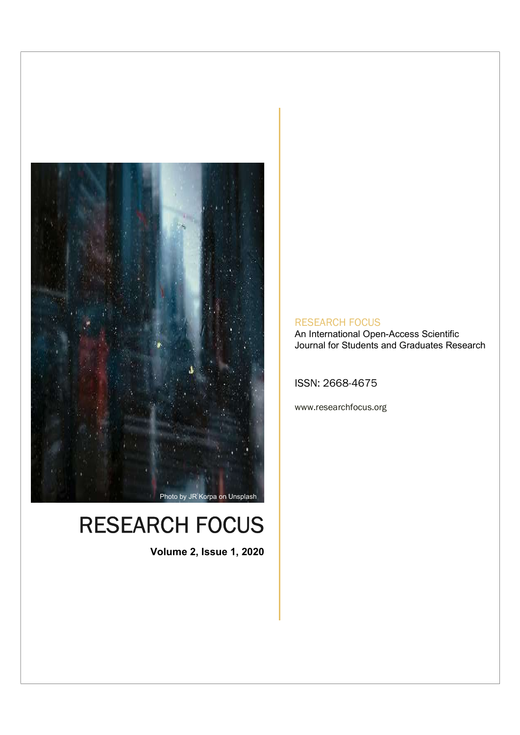

## RESEARCH FOCUS

Volume 2, Issue 1, 2020

#### RESEARCH FOCUS

An International Open-Access Scientific Journal for Students and Graduates Research

ISSN: 2668-4675

www.researchfocus.org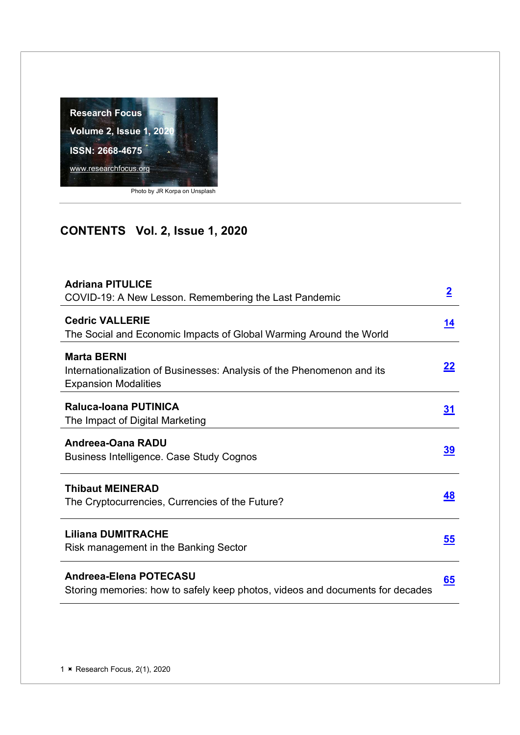

## CONTENTS Vol. 2, Issue 1, 2020

| <b>Adriana PITULICE</b>                                                                                                     |                |
|-----------------------------------------------------------------------------------------------------------------------------|----------------|
| COVID-19: A New Lesson. Remembering the Last Pandemic                                                                       | $\overline{2}$ |
| <b>Cedric VALLERIE</b><br>The Social and Economic Impacts of Global Warming Around the World                                | <u> 14</u>     |
| <b>Marta BERNI</b><br>Internationalization of Businesses: Analysis of the Phenomenon and its<br><b>Expansion Modalities</b> | 22             |
| <b>Raluca-Ioana PUTINICA</b><br>The Impact of Digital Marketing                                                             | <u>31</u>      |
| Andreea-Oana RADU<br><b>Business Intelligence. Case Study Cognos</b>                                                        | <u>39</u>      |
| <b>Thibaut MEINERAD</b><br>The Cryptocurrencies, Currencies of the Future?                                                  | 48             |
| <b>Liliana DUMITRACHE</b><br>Risk management in the Banking Sector                                                          | 55             |
| Andreea-Elena POTECASU<br>Storing memories: how to safely keep photos, videos and documents for decades                     | 65             |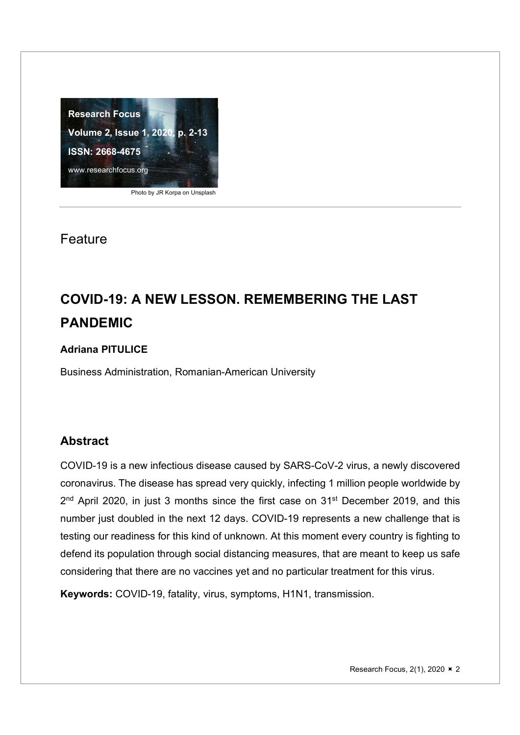

Photo by JR Korpa on Unsplash

#### Feature

## COVID-19: A NEW LESSON. REMEMBERING THE LAST PANDEMIC

#### Adriana PITULICE

Business Administration, Romanian-American University

#### Abstract

COVID-19 is a new infectious disease caused by SARS-CoV-2 virus, a newly discovered coronavirus. The disease has spread very quickly, infecting 1 million people worldwide by 2<sup>nd</sup> April 2020, in just 3 months since the first case on 31<sup>st</sup> December 2019, and this **the set in the set of the** number just doubled in the next 12 days. COVID-19 represents a new challenge that is testing our readiness for this kind of unknown. At this moment every country is fighting to defend its population through social distancing measures, that are meant to keep us safe considering that there are no vaccines yet and no particular treatment for this virus.

Keywords: COVID-19, fatality, virus, symptoms, H1N1, transmission.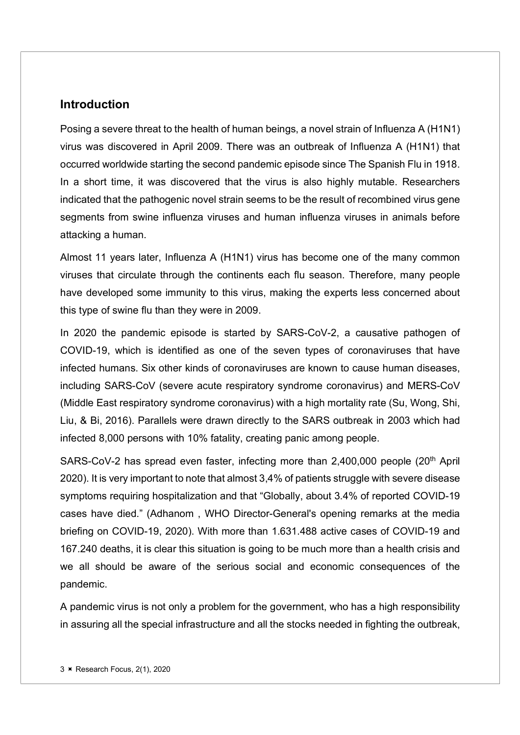#### **Introduction**

Posing a severe threat to the health of human beings, a novel strain of Influenza A (H1N1) virus was discovered in April 2009. There was an outbreak of Influenza A (H1N1) that occurred worldwide starting the second pandemic episode since The Spanish Flu in 1918. In a short time, it was discovered that the virus is also highly mutable. Researchers indicated that the pathogenic novel strain seems to be the result of recombined virus gene segments from swine influenza viruses and human influenza viruses in animals before attacking a human.

Almost 11 years later, Influenza A (H1N1) virus has become one of the many common viruses that circulate through the continents each flu season. Therefore, many people have developed some immunity to this virus, making the experts less concerned about this type of swine flu than they were in 2009.

In 2020 the pandemic episode is started by SARS-CoV-2, a causative pathogen of COVID-19, which is identified as one of the seven types of coronaviruses that have infected humans. Six other kinds of coronaviruses are known to cause human diseases, including SARS-CoV (severe acute respiratory syndrome coronavirus) and MERS-CoV (Middle East respiratory syndrome coronavirus) with a high mortality rate (Su, Wong, Shi, Liu, & Bi, 2016). Parallels were drawn directly to the SARS outbreak in 2003 which had infected 8,000 persons with 10% fatality, creating panic among people.

SARS-CoV-2 has spread even faster, infecting more than 2,400,000 people (20<sup>th</sup> April 2020). It is very important to note that almost 3,4% of patients struggle with severe disease symptoms requiring hospitalization and that "Globally, about 3.4% of reported COVID-19 cases have died." (Adhanom , WHO Director-General's opening remarks at the media briefing on COVID-19, 2020). With more than 1.631.488 active cases of COVID-19 and 167.240 deaths, it is clear this situation is going to be much more than a health crisis and we all should be aware of the serious social and economic consequences of the pandemic.

A pandemic virus is not only a problem for the government, who has a high responsibility in assuring all the special infrastructure and all the stocks needed in fighting the outbreak,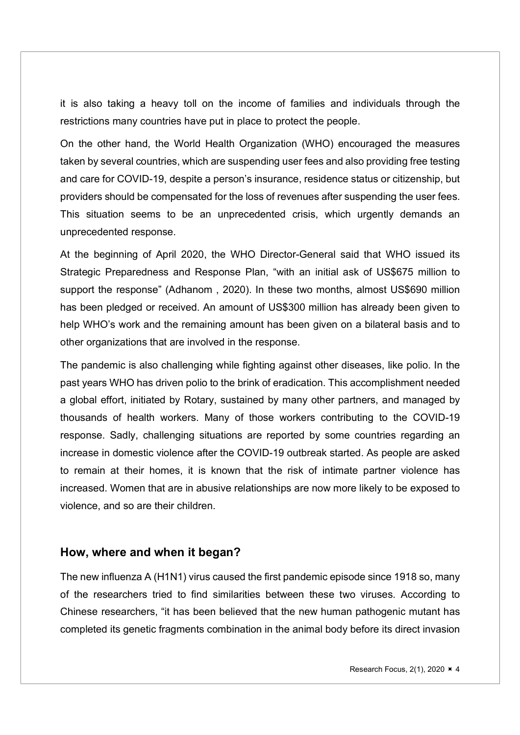it is also taking a heavy toll on the income of families and individuals through the restrictions many countries have put in place to protect the people.

On the other hand, the World Health Organization (WHO) encouraged the measures taken by several countries, which are suspending user fees and also providing free testing and care for COVID-19, despite a person's insurance, residence status or citizenship, but providers should be compensated for the loss of revenues after suspending the user fees. This situation seems to be an unprecedented crisis, which urgently demands an unprecedented response.

At the beginning of April 2020, the WHO Director-General said that WHO issued its Strategic Preparedness and Response Plan, "with an initial ask of US\$675 million to support the response" (Adhanom , 2020). In these two months, almost US\$690 million has been pledged or received. An amount of US\$300 million has already been given to help WHO's work and the remaining amount has been given on a bilateral basis and to other organizations that are involved in the response.

The pandemic is also challenging while fighting against other diseases, like polio. In the past years WHO has driven polio to the brink of eradication. This accomplishment needed a global effort, initiated by Rotary, sustained by many other partners, and managed by thousands of health workers. Many of those workers contributing to the COVID-19 response. Sadly, challenging situations are reported by some countries regarding an increase in domestic violence after the COVID-19 outbreak started. As people are asked to remain at their homes, it is known that the risk of intimate partner violence has increased. Women that are in abusive relationships are now more likely to be exposed to violence, and so are their children.

#### How, where and when it began?

The new influenza A (H1N1) virus caused the first pandemic episode since 1918 so, many of the researchers tried to find similarities between these two viruses. According to Chinese researchers, "it has been believed that the new human pathogenic mutant has completed its genetic fragments combination in the animal body before its direct invasion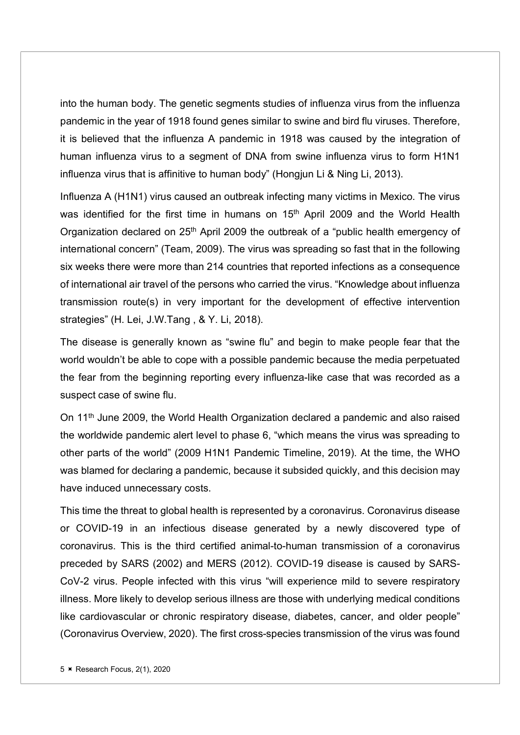into the human body. The genetic segments studies of influenza virus from the influenza pandemic in the year of 1918 found genes similar to swine and bird flu viruses. Therefore, it is believed that the influenza A pandemic in 1918 was caused by the integration of human influenza virus to a segment of DNA from swine influenza virus to form H1N1 influenza virus that is affinitive to human body" (Hongjun Li & Ning Li, 2013).

Influenza A (H1N1) virus caused an outbreak infecting many victims in Mexico. The virus was identified for the first time in humans on 15<sup>th</sup> April 2009 and the World Health Organization declared on 25<sup>th</sup> April 2009 the outbreak of a "public health emergency of international concern" (Team, 2009). The virus was spreading so fast that in the following six weeks there were more than 214 countries that reported infections as a consequence of international air travel of the persons who carried the virus. "Knowledge about influenza transmission route(s) in very important for the development of effective intervention strategies" (H. Lei, J.W.Tang , & Y. Li, 2018).

The disease is generally known as "swine flu" and begin to make people fear that the world wouldn't be able to cope with a possible pandemic because the media perpetuated the fear from the beginning reporting every influenza-like case that was recorded as a suspect case of swine flu.

On 11<sup>th</sup> June 2009, the World Health Organization declared a pandemic and also raised the worldwide pandemic alert level to phase 6, "which means the virus was spreading to other parts of the world" (2009 H1N1 Pandemic Timeline, 2019). At the time, the WHO was blamed for declaring a pandemic, because it subsided quickly, and this decision may have induced unnecessary costs.

This time the threat to global health is represented by a coronavirus. Coronavirus disease or COVID-19 in an infectious disease generated by a newly discovered type of coronavirus. This is the third certified animal-to-human transmission of a coronavirus preceded by SARS (2002) and MERS (2012). COVID-19 disease is caused by SARS-CoV-2 virus. People infected with this virus "will experience mild to severe respiratory illness. More likely to develop serious illness are those with underlying medical conditions like cardiovascular or chronic respiratory disease, diabetes, cancer, and older people" (Coronavirus Overview, 2020). The first cross-species transmission of the virus was found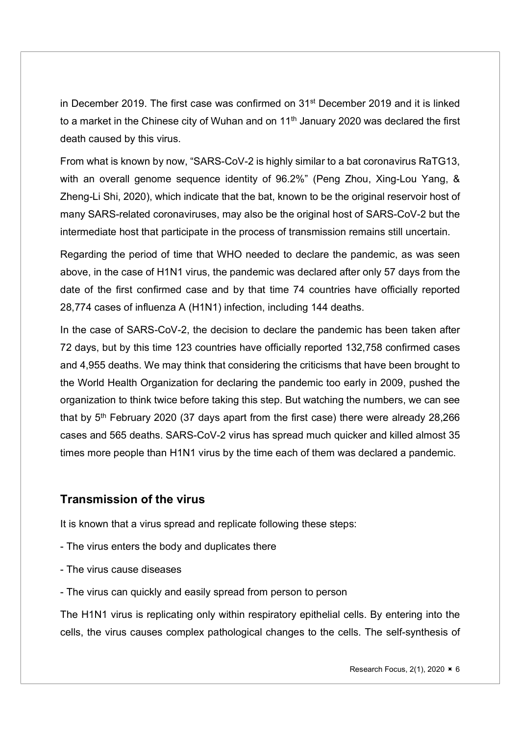in December 2019. The first case was confirmed on 31st December 2019 and it is linked to a market in the Chinese city of Wuhan and on  $11<sup>th</sup>$  January 2020 was declared the first death caused by this virus.

From what is known by now, "SARS-CoV-2 is highly similar to a bat coronavirus RaTG13, with an overall genome sequence identity of 96.2%" (Peng Zhou, Xing-Lou Yang, & Zheng-Li Shi, 2020), which indicate that the bat, known to be the original reservoir host of many SARS-related coronaviruses, may also be the original host of SARS-CoV-2 but the intermediate host that participate in the process of transmission remains still uncertain.

Regarding the period of time that WHO needed to declare the pandemic, as was seen above, in the case of H1N1 virus, the pandemic was declared after only 57 days from the date of the first confirmed case and by that time 74 countries have officially reported 28,774 cases of influenza A (H1N1) infection, including 144 deaths.

In the case of SARS-CoV-2, the decision to declare the pandemic has been taken after 72 days, but by this time 123 countries have officially reported 132,758 confirmed cases and 4,955 deaths. We may think that considering the criticisms that have been brought to the World Health Organization for declaring the pandemic too early in 2009, pushed the organization to think twice before taking this step. But watching the numbers, we can see that by  $5<sup>th</sup>$  February 2020 (37 days apart from the first case) there were already 28,266 cases and 565 deaths. SARS-CoV-2 virus has spread much quicker and killed almost 35 times more people than H1N1 virus by the time each of them was declared a pandemic.

#### Transmission of the virus

It is known that a virus spread and replicate following these steps:

- The virus enters the body and duplicates there
- The virus cause diseases
- The virus can quickly and easily spread from person to person

The H1N1 virus is replicating only within respiratory epithelial cells. By entering into the cells, the virus causes complex pathological changes to the cells. The self-synthesis of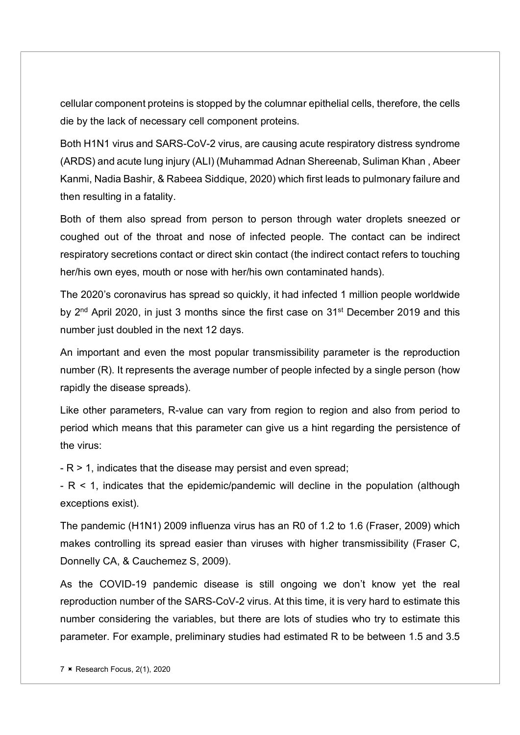cellular component proteins is stopped by the columnar epithelial cells, therefore, the cells die by the lack of necessary cell component proteins.

Both H1N1 virus and SARS-CoV-2 virus, are causing acute respiratory distress syndrome (ARDS) and acute lung injury (ALI) (Muhammad Adnan Shereenab, Suliman Khan , Abeer Kanmi, Nadia Bashir, & Rabeea Siddique, 2020) which first leads to pulmonary failure and then resulting in a fatality.

Both of them also spread from person to person through water droplets sneezed or coughed out of the throat and nose of infected people. The contact can be indirect respiratory secretions contact or direct skin contact (the indirect contact refers to touching her/his own eyes, mouth or nose with her/his own contaminated hands).

The 2020's coronavirus has spread so quickly, it had infected 1 million people worldwide by 2<sup>nd</sup> April 2020, in just 3 months since the first case on 31<sup>st</sup> December 2019 and this number just doubled in the next 12 days.

An important and even the most popular transmissibility parameter is the reproduction number (R). It represents the average number of people infected by a single person (how rapidly the disease spreads).

Like other parameters, R-value can vary from region to region and also from period to period which means that this parameter can give us a hint regarding the persistence of the virus:

- R > 1, indicates that the disease may persist and even spread;

- R < 1, indicates that the epidemic/pandemic will decline in the population (although exceptions exist).

The pandemic (H1N1) 2009 influenza virus has an R0 of 1.2 to 1.6 (Fraser, 2009) which makes controlling its spread easier than viruses with higher transmissibility (Fraser C, Donnelly CA, & Cauchemez S, 2009).

As the COVID-19 pandemic disease is still ongoing we don't know yet the real reproduction number of the SARS-CoV-2 virus. At this time, it is very hard to estimate this number considering the variables, but there are lots of studies who try to estimate this parameter. For example, preliminary studies had estimated R to be between 1.5 and 3.5

 $7 \times$  Research Focus, 2(1), 2020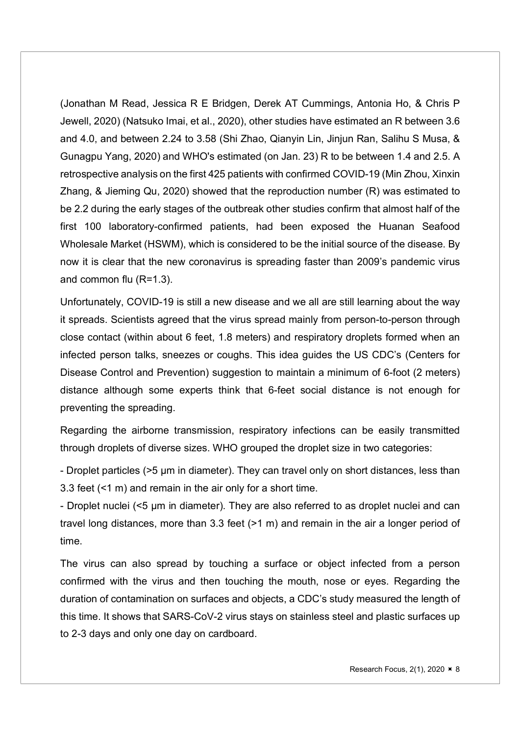(Jonathan M Read, Jessica R E Bridgen, Derek AT Cummings, Antonia Ho, & Chris P Jewell, 2020) (Natsuko Imai, et al., 2020), other studies have estimated an R between 3.6 and 4.0, and between 2.24 to 3.58 (Shi Zhao, Qianyin Lin, Jinjun Ran, Salihu S Musa, & Gunagpu Yang, 2020) and WHO's estimated (on Jan. 23) R to be between 1.4 and 2.5. A retrospective analysis on the first 425 patients with confirmed COVID-19 (Min Zhou, Xinxin Zhang, & Jieming Qu, 2020) showed that the reproduction number (R) was estimated to be 2.2 during the early stages of the outbreak other studies confirm that almost half of the first 100 laboratory-confirmed patients, had been exposed the Huanan Seafood Wholesale Market (HSWM), which is considered to be the initial source of the disease. By now it is clear that the new coronavirus is spreading faster than 2009's pandemic virus and common flu (R=1.3).

Unfortunately, COVID-19 is still a new disease and we all are still learning about the way it spreads. Scientists agreed that the virus spread mainly from person-to-person through close contact (within about 6 feet, 1.8 meters) and respiratory droplets formed when an infected person talks, sneezes or coughs. This idea guides the US CDC's (Centers for Disease Control and Prevention) suggestion to maintain a minimum of 6-foot (2 meters) distance although some experts think that 6-feet social distance is not enough for preventing the spreading.

Regarding the airborne transmission, respiratory infections can be easily transmitted through droplets of diverse sizes. WHO grouped the droplet size in two categories:

- Droplet particles (>5 μm in diameter). They can travel only on short distances, less than 3.3 feet (<1 m) and remain in the air only for a short time.

- Droplet nuclei (<5 μm in diameter). They are also referred to as droplet nuclei and can travel long distances, more than 3.3 feet (>1 m) and remain in the air a longer period of time.

The virus can also spread by touching a surface or object infected from a person confirmed with the virus and then touching the mouth, nose or eyes. Regarding the duration of contamination on surfaces and objects, a CDC's study measured the length of this time. It shows that SARS-CoV-2 virus stays on stainless steel and plastic surfaces up to 2-3 days and only one day on cardboard.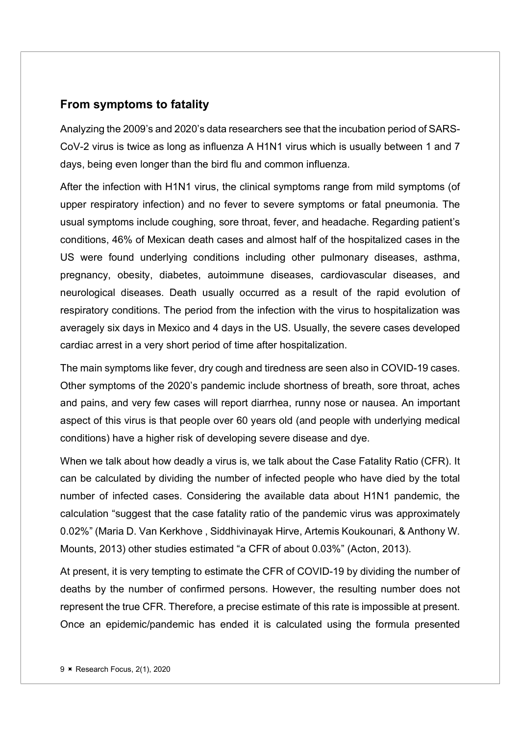#### From symptoms to fatality

Analyzing the 2009's and 2020's data researchers see that the incubation period of SARS-CoV-2 virus is twice as long as influenza A H1N1 virus which is usually between 1 and 7 days, being even longer than the bird flu and common influenza.

After the infection with H1N1 virus, the clinical symptoms range from mild symptoms (of upper respiratory infection) and no fever to severe symptoms or fatal pneumonia. The usual symptoms include coughing, sore throat, fever, and headache. Regarding patient's conditions, 46% of Mexican death cases and almost half of the hospitalized cases in the US were found underlying conditions including other pulmonary diseases, asthma, pregnancy, obesity, diabetes, autoimmune diseases, cardiovascular diseases, and neurological diseases. Death usually occurred as a result of the rapid evolution of respiratory conditions. The period from the infection with the virus to hospitalization was averagely six days in Mexico and 4 days in the US. Usually, the severe cases developed cardiac arrest in a very short period of time after hospitalization.

The main symptoms like fever, dry cough and tiredness are seen also in COVID-19 cases. Other symptoms of the 2020's pandemic include shortness of breath, sore throat, aches and pains, and very few cases will report diarrhea, runny nose or nausea. An important aspect of this virus is that people over 60 years old (and people with underlying medical conditions) have a higher risk of developing severe disease and dye.

When we talk about how deadly a virus is, we talk about the Case Fatality Ratio (CFR). It can be calculated by dividing the number of infected people who have died by the total number of infected cases. Considering the available data about H1N1 pandemic, the calculation "suggest that the case fatality ratio of the pandemic virus was approximately 0.02%" (Maria D. Van Kerkhove , Siddhivinayak Hirve, Artemis Koukounari, & Anthony W. Mounts, 2013) other studies estimated "a CFR of about 0.03%" (Acton, 2013).

At present, it is very tempting to estimate the CFR of COVID-19 by dividing the number of deaths by the number of confirmed persons. However, the resulting number does not represent the true CFR. Therefore, a precise estimate of this rate is impossible at present. Once an epidemic/pandemic has ended it is calculated using the formula presented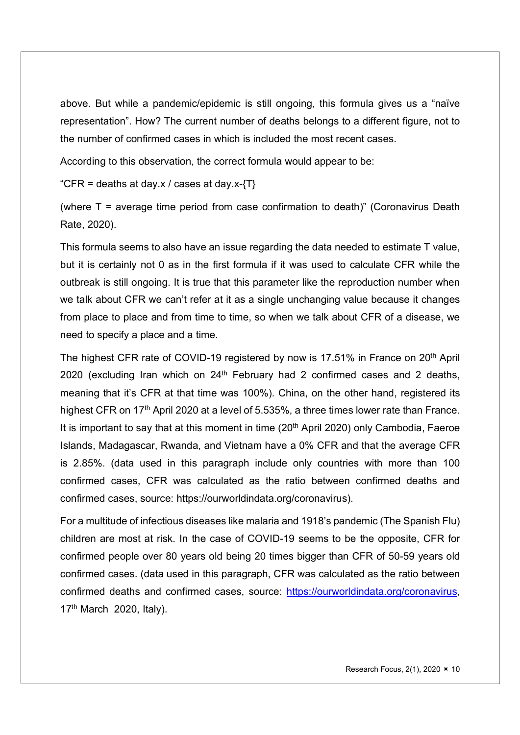above. But while a pandemic/epidemic is still ongoing, this formula gives us a "naïve representation". How? The current number of deaths belongs to a different figure, not to the number of confirmed cases in which is included the most recent cases.

According to this observation, the correct formula would appear to be:

"CFR = deaths at day.x / cases at day.x- $\{T\}$ 

(where T = average time period from case confirmation to death)" (Coronavirus Death Rate, 2020).

This formula seems to also have an issue regarding the data needed to estimate T value, but it is certainly not 0 as in the first formula if it was used to calculate CFR while the outbreak is still ongoing. It is true that this parameter like the reproduction number when we talk about CFR we can't refer at it as a single unchanging value because it changes from place to place and from time to time, so when we talk about CFR of a disease, we need to specify a place and a time.

The highest CFR rate of COVID-19 registered by now is 17.51% in France on 20<sup>th</sup> April 2020 (excluding Iran which on 24<sup>th</sup> February had 2 confirmed cases and 2 deaths, meaning that it's CFR at that time was 100%). China, on the other hand, registered its highest CFR on 17<sup>th</sup> April 2020 at a level of 5.535%, a three times lower rate than France. It is important to say that at this moment in time  $(20<sup>th</sup>$  April 2020) only Cambodia, Faeroe Islands, Madagascar, Rwanda, and Vietnam have a 0% CFR and that the average CFR is 2.85%. (data used in this paragraph include only countries with more than 100 confirmed cases, CFR was calculated as the ratio between confirmed deaths and confirmed cases, source: https://ourworldindata.org/coronavirus).

For a multitude of infectious diseases like malaria and 1918's pandemic (The Spanish Flu) children are most at risk. In the case of COVID-19 seems to be the opposite, CFR for confirmed people over 80 years old being 20 times bigger than CFR of 50-59 years old confirmed cases. (data used in this paragraph, CFR was calculated as the ratio between confirmed deaths and confirmed cases, source: https://ourworldindata.org/coronavirus, 17th March 2020, Italy).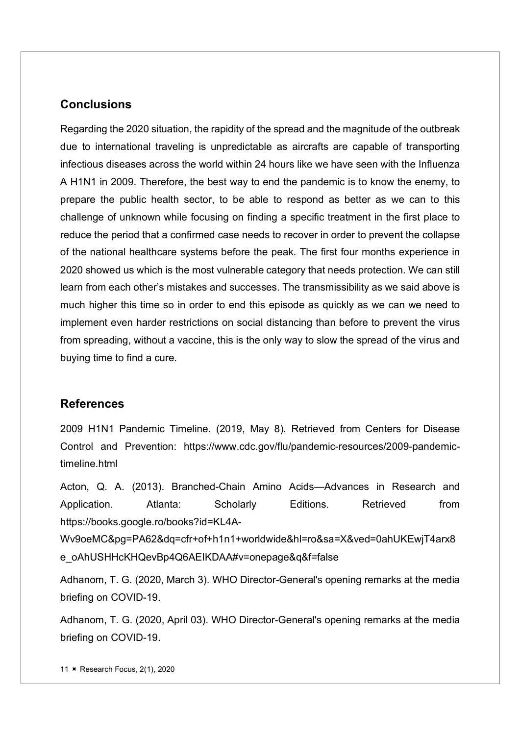#### **Conclusions**

Regarding the 2020 situation, the rapidity of the spread and the magnitude of the outbreak due to international traveling is unpredictable as aircrafts are capable of transporting infectious diseases across the world within 24 hours like we have seen with the Influenza A H1N1 in 2009. Therefore, the best way to end the pandemic is to know the enemy, to prepare the public health sector, to be able to respond as better as we can to this challenge of unknown while focusing on finding a specific treatment in the first place to reduce the period that a confirmed case needs to recover in order to prevent the collapse of the national healthcare systems before the peak. The first four months experience in 2020 showed us which is the most vulnerable category that needs protection. We can still learn from each other's mistakes and successes. The transmissibility as we said above is much higher this time so in order to end this episode as quickly as we can we need to implement even harder restrictions on social distancing than before to prevent the virus from spreading, without a vaccine, this is the only way to slow the spread of the virus and buying time to find a cure.

#### References

2009 H1N1 Pandemic Timeline. (2019, May 8). Retrieved from Centers for Disease Control and Prevention: https://www.cdc.gov/flu/pandemic-resources/2009-pandemictimeline.html

Acton, Q. A. (2013). Branched-Chain Amino Acids—Advances in Research and Application. Atlanta: Scholarly Editions. Retrieved from https://books.google.ro/books?id=KL4A-

Wv9oeMC&pg=PA62&dq=cfr+of+h1n1+worldwide&hl=ro&sa=X&ved=0ahUKEwjT4arx8 e\_oAhUSHHcKHQevBp4Q6AEIKDAA#v=onepage&q&f=false

Adhanom, T. G. (2020, March 3). WHO Director-General's opening remarks at the media briefing on COVID-19.

Adhanom, T. G. (2020, April 03). WHO Director-General's opening remarks at the media briefing on COVID-19.

11 **× Research Focus, 2(1), 2020**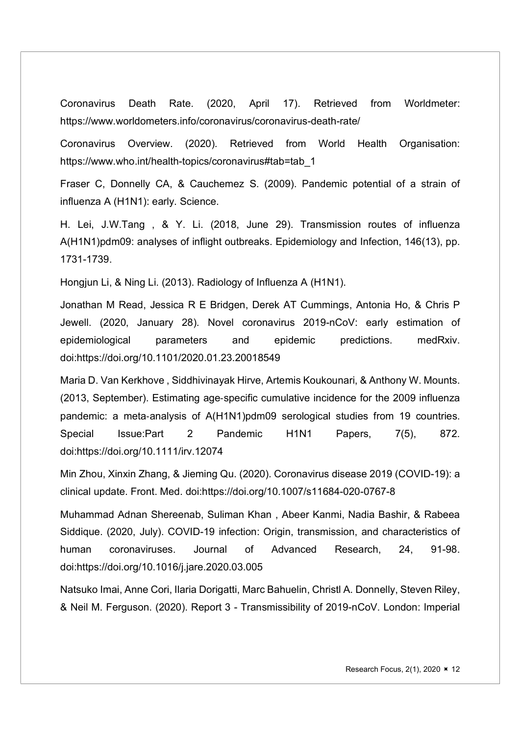Coronavirus Death Rate. (2020, April 17). Retrieved from Worldmeter: https://www.worldometers.info/coronavirus/coronavirus-death-rate/

Coronavirus Overview. (2020). Retrieved from World Health Organisation: https://www.who.int/health-topics/coronavirus#tab=tab\_1

Fraser C, Donnelly CA, & Cauchemez S. (2009). Pandemic potential of a strain of influenza A (H1N1): early. Science.

H. Lei, J.W.Tang , & Y. Li. (2018, June 29). Transmission routes of influenza A(H1N1)pdm09: analyses of inflight outbreaks. Epidemiology and Infection, 146(13), pp. 1731-1739.

Hongjun Li, & Ning Li. (2013). Radiology of Influenza A (H1N1).

Jonathan M Read, Jessica R E Bridgen, Derek AT Cummings, Antonia Ho, & Chris P Jewell. (2020, January 28). Novel coronavirus 2019-nCoV: early estimation of epidemiological parameters and epidemic predictions. medRxiv. doi:https://doi.org/10.1101/2020.01.23.20018549

Maria D. Van Kerkhove , Siddhivinayak Hirve, Artemis Koukounari, & Anthony W. Mounts. (2013, September). Estimating age‐specific cumulative incidence for the 2009 influenza pandemic: a meta‐analysis of A(H1N1)pdm09 serological studies from 19 countries. Special Issue:Part 2 Pandemic H1N1 Papers, 7(5), 872. doi:https://doi.org/10.1111/irv.12074

Min Zhou, Xinxin Zhang, & Jieming Qu. (2020). Coronavirus disease 2019 (COVID-19): a clinical update. Front. Med. doi:https://doi.org/10.1007/s11684-020-0767-8

Muhammad Adnan Shereenab, Suliman Khan , Abeer Kanmi, Nadia Bashir, & Rabeea Siddique. (2020, July). COVID-19 infection: Origin, transmission, and characteristics of human coronaviruses. Journal of Advanced Research, 24, 91-98. doi:https://doi.org/10.1016/j.jare.2020.03.005

Natsuko Imai, Anne Cori, Ilaria Dorigatti, Marc Bahuelin, Christl A. Donnelly, Steven Riley, & Neil M. Ferguson. (2020). Report 3 - Transmissibility of 2019-nCoV. London: Imperial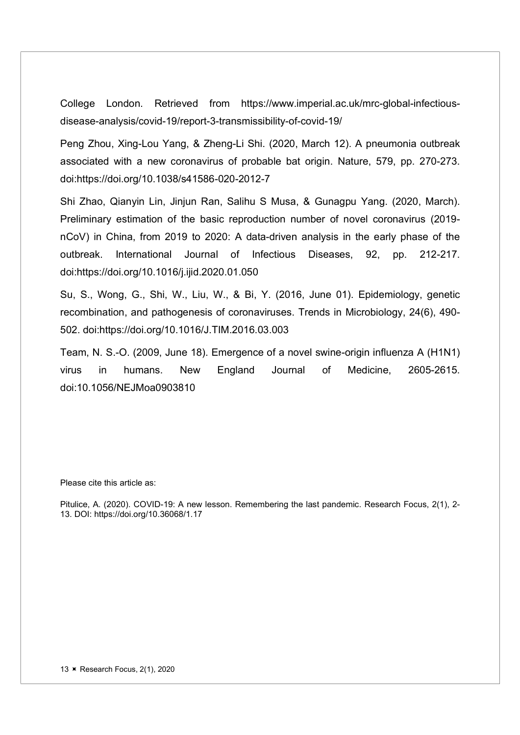College London. Retrieved from https://www.imperial.ac.uk/mrc-global-infectiousdisease-analysis/covid-19/report-3-transmissibility-of-covid-19/

Peng Zhou, Xing-Lou Yang, & Zheng-Li Shi. (2020, March 12). A pneumonia outbreak associated with a new coronavirus of probable bat origin. Nature, 579, pp. 270-273. doi:https://doi.org/10.1038/s41586-020-2012-7

Shi Zhao, Qianyin Lin, Jinjun Ran, Salihu S Musa, & Gunagpu Yang. (2020, March). Preliminary estimation of the basic reproduction number of novel coronavirus (2019 nCoV) in China, from 2019 to 2020: A data-driven analysis in the early phase of the outbreak. International Journal of Infectious Diseases, 92, pp. 212-217. doi:https://doi.org/10.1016/j.ijid.2020.01.050

Su, S., Wong, G., Shi, W., Liu, W., & Bi, Y. (2016, June 01). Epidemiology, genetic recombination, and pathogenesis of coronaviruses. Trends in Microbiology, 24(6), 490- 502. doi:https://doi.org/10.1016/J.TIM.2016.03.003

Team, N. S.-O. (2009, June 18). Emergence of a novel swine-origin influenza A (H1N1) virus in humans. New England Journal of Medicine, 2605-2615. doi:10.1056/NEJMoa0903810

Please cite this article as:

Pitulice, A. (2020). COVID-19: A new lesson. Remembering the last pandemic. Research Focus, 2(1), 2- 13. DOI: https://doi.org/10.36068/1.17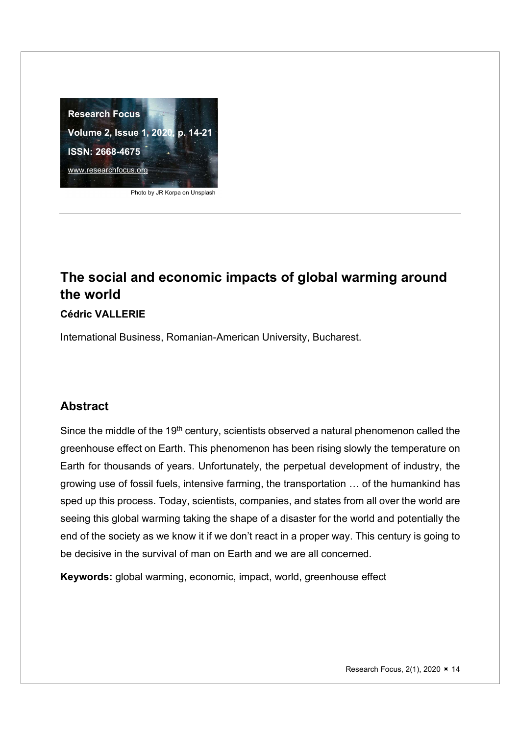

Photo by JR Korpa on Unsplash

# the world

#### Cédric VALLERIE

International Business, Romanian-American University, Bucharest.

#### Abstract

Since the middle of the 19<sup>th</sup> century, scientists observed a natural phenomenon called the greenhouse effect on Earth. This phenomenon has been rising slowly the temperature on Earth for thousands of years. Unfortunately, the perpetual development of industry, the growing use of fossil fuels, intensive farming, the transportation … of the humankind has sped up this process. Today, scientists, companies, and states from all over the world are seeing this global warming taking the shape of a disaster for the world and potentially the end of the society as we know it if we don't react in a proper way. This century is going to be decisive in the survival of man on Earth and we are all concerned.

Keywords: global warming, economic, impact, world, greenhouse effect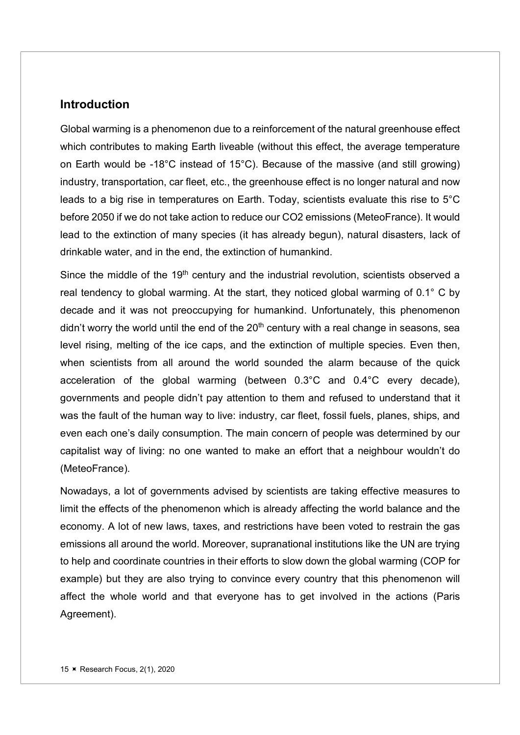#### **Introduction**

Global warming is a phenomenon due to a reinforcement of the natural greenhouse effect which contributes to making Earth liveable (without this effect, the average temperature on Earth would be -18°C instead of 15°C). Because of the massive (and still growing) industry, transportation, car fleet, etc., the greenhouse effect is no longer natural and now leads to a big rise in temperatures on Earth. Today, scientists evaluate this rise to 5°C before 2050 if we do not take action to reduce our CO2 emissions (MeteoFrance). It would lead to the extinction of many species (it has already begun), natural disasters, lack of drinkable water, and in the end, the extinction of humankind.

Since the middle of the 19<sup>th</sup> century and the industrial revolution, scientists observed a real tendency to global warming. At the start, they noticed global warming of 0.1° C by decade and it was not preoccupying for humankind. Unfortunately, this phenomenon didn't worry the world until the end of the  $20<sup>th</sup>$  century with a real change in seasons, sea level rising, melting of the ice caps, and the extinction of multiple species. Even then, when scientists from all around the world sounded the alarm because of the quick acceleration of the global warming (between 0.3°C and 0.4°C every decade), governments and people didn't pay attention to them and refused to understand that it was the fault of the human way to live: industry, car fleet, fossil fuels, planes, ships, and even each one's daily consumption. The main concern of people was determined by our capitalist way of living: no one wanted to make an effort that a neighbour wouldn't do (MeteoFrance).

Nowadays, a lot of governments advised by scientists are taking effective measures to limit the effects of the phenomenon which is already affecting the world balance and the economy. A lot of new laws, taxes, and restrictions have been voted to restrain the gas emissions all around the world. Moreover, supranational institutions like the UN are trying to help and coordinate countries in their efforts to slow down the global warming (COP for example) but they are also trying to convince every country that this phenomenon will affect the whole world and that everyone has to get involved in the actions (Paris Agreement).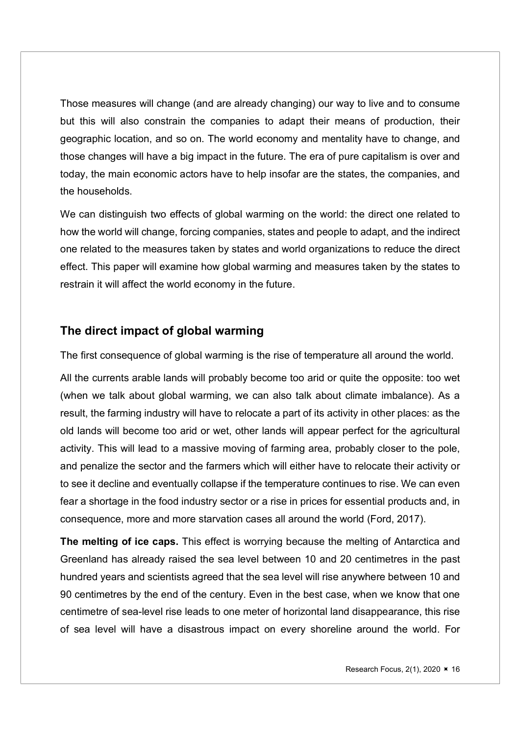Those measures will change (and are already changing) our way to live and to consume but this will also constrain the companies to adapt their means of production, their geographic location, and so on. The world economy and mentality have to change, and those changes will have a big impact in the future. The era of pure capitalism is over and today, the main economic actors have to help insofar are the states, the companies, and the households.

We can distinguish two effects of global warming on the world: the direct one related to how the world will change, forcing companies, states and people to adapt, and the indirect one related to the measures taken by states and world organizations to reduce the direct effect. This paper will examine how global warming and measures taken by the states to restrain it will affect the world economy in the future.

#### The direct impact of global warming

The first consequence of global warming is the rise of temperature all around the world.

All the currents arable lands will probably become too arid or quite the opposite: too wet (when we talk about global warming, we can also talk about climate imbalance). As a result, the farming industry will have to relocate a part of its activity in other places: as the old lands will become too arid or wet, other lands will appear perfect for the agricultural activity. This will lead to a massive moving of farming area, probably closer to the pole, and penalize the sector and the farmers which will either have to relocate their activity or to see it decline and eventually collapse if the temperature continues to rise. We can even fear a shortage in the food industry sector or a rise in prices for essential products and, in consequence, more and more starvation cases all around the world (Ford, 2017).

The melting of ice caps. This effect is worrying because the melting of Antarctica and Greenland has already raised the sea level between 10 and 20 centimetres in the past hundred years and scientists agreed that the sea level will rise anywhere between 10 and 90 centimetres by the end of the century. Even in the best case, when we know that one centimetre of sea-level rise leads to one meter of horizontal land disappearance, this rise of sea level will have a disastrous impact on every shoreline around the world. For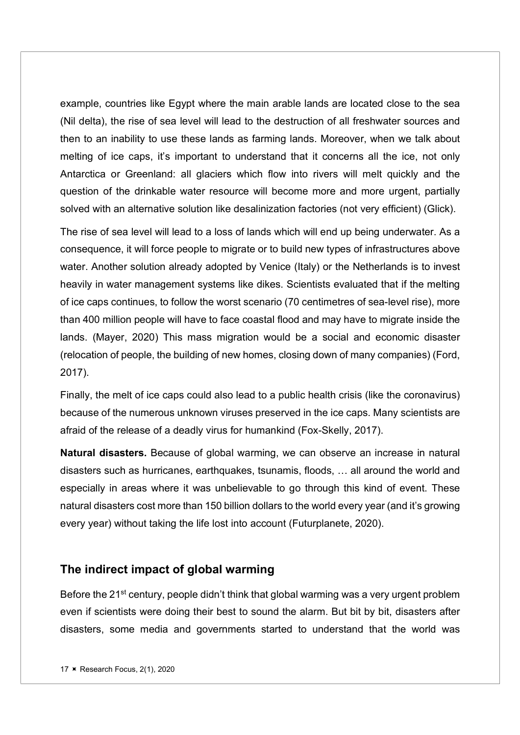example, countries like Egypt where the main arable lands are located close to the sea (Nil delta), the rise of sea level will lead to the destruction of all freshwater sources and then to an inability to use these lands as farming lands. Moreover, when we talk about melting of ice caps, it's important to understand that it concerns all the ice, not only Antarctica or Greenland: all glaciers which flow into rivers will melt quickly and the question of the drinkable water resource will become more and more urgent, partially solved with an alternative solution like desalinization factories (not very efficient) (Glick).

The rise of sea level will lead to a loss of lands which will end up being underwater. As a consequence, it will force people to migrate or to build new types of infrastructures above water. Another solution already adopted by Venice (Italy) or the Netherlands is to invest heavily in water management systems like dikes. Scientists evaluated that if the melting of ice caps continues, to follow the worst scenario (70 centimetres of sea-level rise), more than 400 million people will have to face coastal flood and may have to migrate inside the lands. (Mayer, 2020) This mass migration would be a social and economic disaster (relocation of people, the building of new homes, closing down of many companies) (Ford, 2017).

Finally, the melt of ice caps could also lead to a public health crisis (like the coronavirus) because of the numerous unknown viruses preserved in the ice caps. Many scientists are afraid of the release of a deadly virus for humankind (Fox-Skelly, 2017).

Natural disasters. Because of global warming, we can observe an increase in natural disasters such as hurricanes, earthquakes, tsunamis, floods, … all around the world and especially in areas where it was unbelievable to go through this kind of event. These natural disasters cost more than 150 billion dollars to the world every year (and it's growing every year) without taking the life lost into account (Futurplanete, 2020).

#### The indirect impact of global warming

Before the 21<sup>st</sup> century, people didn't think that global warming was a very urgent problem even if scientists were doing their best to sound the alarm. But bit by bit, disasters after disasters, some media and governments started to understand that the world was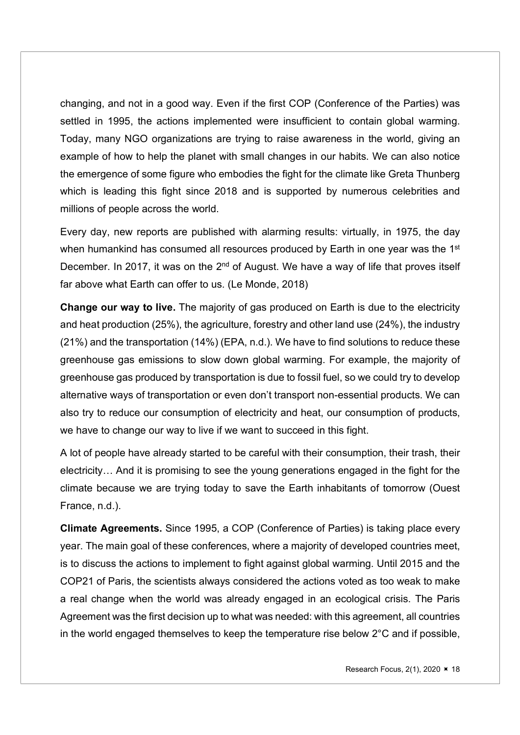changing, and not in a good way. Even if the first COP (Conference of the Parties) was settled in 1995, the actions implemented were insufficient to contain global warming. Today, many NGO organizations are trying to raise awareness in the world, giving an example of how to help the planet with small changes in our habits. We can also notice the emergence of some figure who embodies the fight for the climate like Greta Thunberg which is leading this fight since 2018 and is supported by numerous celebrities and millions of people across the world.

Every day, new reports are published with alarming results: virtually, in 1975, the day when humankind has consumed all resources produced by Earth in one year was the 1<sup>st</sup> December. In 2017, it was on the  $2<sup>nd</sup>$  of August. We have a way of life that proves itself far above what Earth can offer to us. (Le Monde, 2018)

Change our way to live. The majority of gas produced on Earth is due to the electricity and heat production (25%), the agriculture, forestry and other land use (24%), the industry (21%) and the transportation (14%) (EPA, n.d.). We have to find solutions to reduce these greenhouse gas emissions to slow down global warming. For example, the majority of greenhouse gas produced by transportation is due to fossil fuel, so we could try to develop alternative ways of transportation or even don't transport non-essential products. We can also try to reduce our consumption of electricity and heat, our consumption of products, we have to change our way to live if we want to succeed in this fight.

A lot of people have already started to be careful with their consumption, their trash, their electricity… And it is promising to see the young generations engaged in the fight for the climate because we are trying today to save the Earth inhabitants of tomorrow (Ouest France, n.d.).

Climate Agreements. Since 1995, a COP (Conference of Parties) is taking place every year. The main goal of these conferences, where a majority of developed countries meet, is to discuss the actions to implement to fight against global warming. Until 2015 and the COP21 of Paris, the scientists always considered the actions voted as too weak to make a real change when the world was already engaged in an ecological crisis. The Paris Agreement was the first decision up to what was needed: with this agreement, all countries in the world engaged themselves to keep the temperature rise below 2°C and if possible,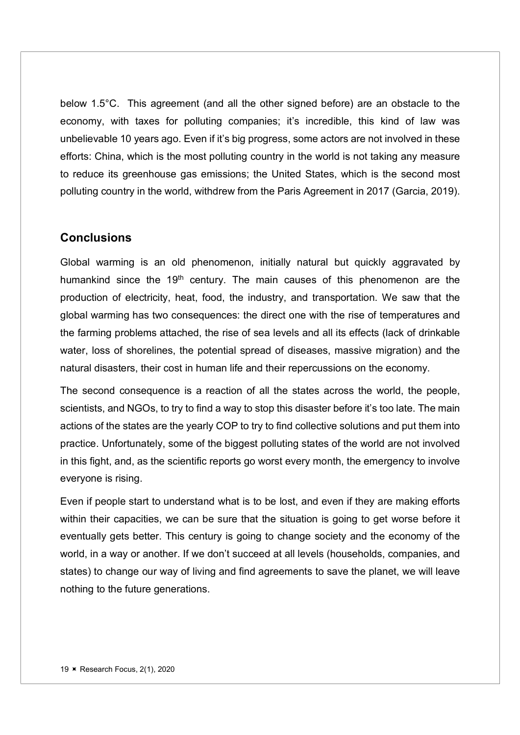below 1.5°C. This agreement (and all the other signed before) are an obstacle to the economy, with taxes for polluting companies; it's incredible, this kind of law was unbelievable 10 years ago. Even if it's big progress, some actors are not involved in these efforts: China, which is the most polluting country in the world is not taking any measure to reduce its greenhouse gas emissions; the United States, which is the second most polluting country in the world, withdrew from the Paris Agreement in 2017 (Garcia, 2019).

#### **Conclusions**

Global warming is an old phenomenon, initially natural but quickly aggravated by humankind since the 19<sup>th</sup> century. The main causes of this phenomenon are the production of electricity, heat, food, the industry, and transportation. We saw that the global warming has two consequences: the direct one with the rise of temperatures and the farming problems attached, the rise of sea levels and all its effects (lack of drinkable water, loss of shorelines, the potential spread of diseases, massive migration) and the natural disasters, their cost in human life and their repercussions on the economy.

The second consequence is a reaction of all the states across the world, the people, scientists, and NGOs, to try to find a way to stop this disaster before it's too late. The main actions of the states are the yearly COP to try to find collective solutions and put them into practice. Unfortunately, some of the biggest polluting states of the world are not involved in this fight, and, as the scientific reports go worst every month, the emergency to involve everyone is rising.

Even if people start to understand what is to be lost, and even if they are making efforts within their capacities, we can be sure that the situation is going to get worse before it eventually gets better. This century is going to change society and the economy of the world, in a way or another. If we don't succeed at all levels (households, companies, and states) to change our way of living and find agreements to save the planet, we will leave nothing to the future generations.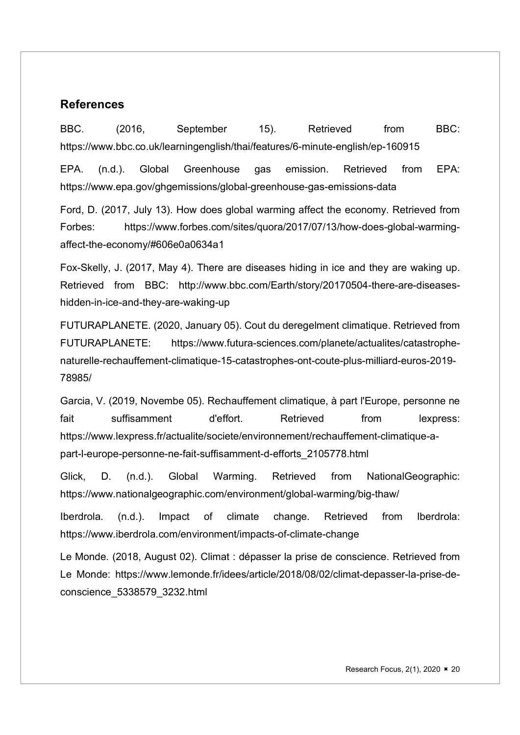#### References

affect-the-economy/#606e0a0634a1

BBC. (2016, September 15). Retrieved from BBC: https://www.bbc.co.uk/learningenglish/thai/features/6-minute-english/ep-160915 EPA. (n.d.). Global Greenhouse gas emission. Retrieved from EPA: https://www.epa.gov/ghgemissions/global-greenhouse-gas-emissions-data

Ford, D. (2017, July 13). How does global warming affect the economy. Retrieved from Forbes: https://www.forbes.com/sites/quora/2017/07/13/how-does-global-warming-

Fox-Skelly, J. (2017, May 4). There are diseases hiding in ice and they are waking up. Retrieved from BBC: http://www.bbc.com/Earth/story/20170504-there-are-diseaseshidden-in-ice-and-they-are-waking-up

FUTURAPLANETE. (2020, January 05). Cout du deregelment climatique. Retrieved from FUTURAPLANETE: https://www.futura-sciences.com/planete/actualites/catastrophenaturelle-rechauffement-climatique-15-catastrophes-ont-coute-plus-milliard-euros-2019- 78985/

Garcia, V. (2019, Novembe 05). Rechauffement climatique, à part l'Europe, personne ne fait suffisamment d'effort. Retrieved from lexpress: https://www.lexpress.fr/actualite/societe/environnement/rechauffement-climatique-apart-l-europe-personne-ne-fait-suffisamment-d-efforts\_2105778.html

Glick, D. (n.d.). Global Warming. Retrieved from NationalGeographic: https://www.nationalgeographic.com/environment/global-warming/big-thaw/

Iberdrola. (n.d.). Impact of climate change. Retrieved from Iberdrola: https://www.iberdrola.com/environment/impacts-of-climate-change

Le Monde. (2018, August 02). Climat : dépasser la prise de conscience. Retrieved from Le Monde: https://www.lemonde.fr/idees/article/2018/08/02/climat-depasser-la-prise-deconscience\_5338579\_3232.html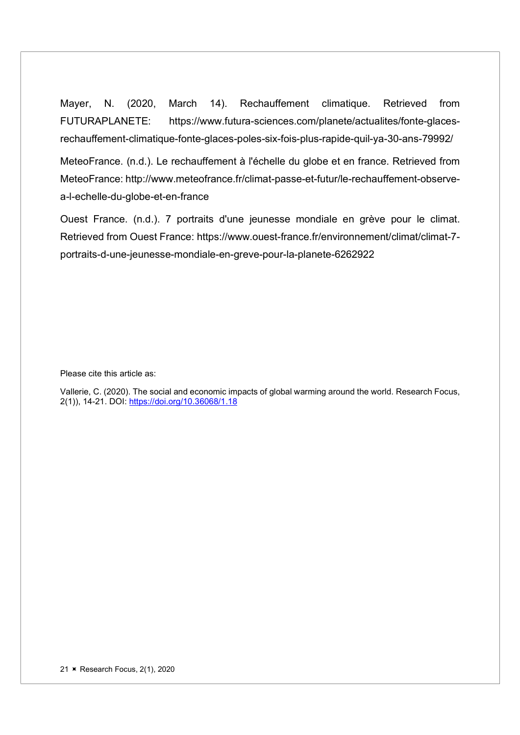Mayer, N. (2020, March 14). Rechauffement climatique. Retrieved from FUTURAPLANETE: https://www.futura-sciences.com/planete/actualites/fonte-glacesrechauffement-climatique-fonte-glaces-poles-six-fois-plus-rapide-quil-ya-30-ans-79992/

MeteoFrance. (n.d.). Le rechauffement à l'échelle du globe et en france. Retrieved from MeteoFrance: http://www.meteofrance.fr/climat-passe-et-futur/le-rechauffement-observea-l-echelle-du-globe-et-en-france

Ouest France. (n.d.). 7 portraits d'une jeunesse mondiale en grève pour le climat. Retrieved from Ouest France: https://www.ouest-france.fr/environnement/climat/climat-7 portraits-d-une-jeunesse-mondiale-en-greve-pour-la-planete-6262922

Please cite this article as:

Vallerie, C. (2020). The social and economic impacts of global warming around the world. Research Focus, 2(1)), 14-21. DOI: https://doi.org/10.36068/1.18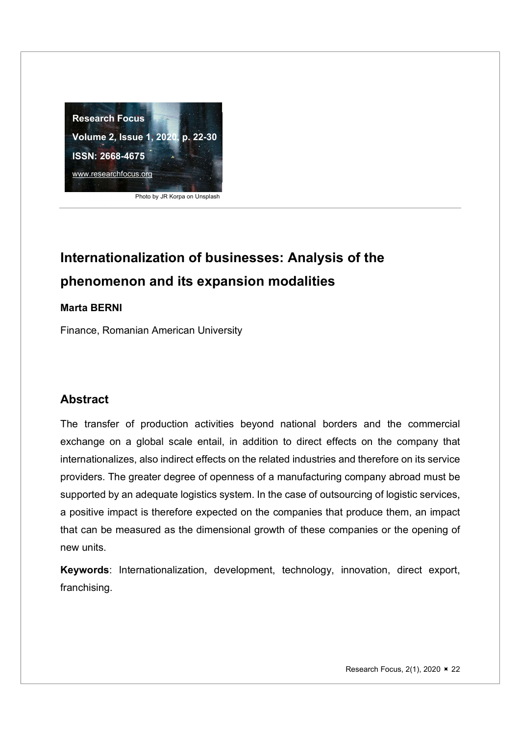

Photo by JR Korpa on Unsplash

## Internationalization of businesses: Analysis of the phenomenon and its expansion modalities

#### Marta BERNI

Finance, Romanian American University

#### Abstract

The transfer of production activities beyond national borders and the commercial exchange on a global scale entail, in addition to direct effects on the company that internationalizes, also indirect effects on the related industries and therefore on its service providers. The greater degree of openness of a manufacturing company abroad must be supported by an adequate logistics system. In the case of outsourcing of logistic services, a positive impact is therefore expected on the companies that produce them, an impact that can be measured as the dimensional growth of these companies or the opening of new units.

Keywords: Internationalization, development, technology, innovation, direct export, franchising.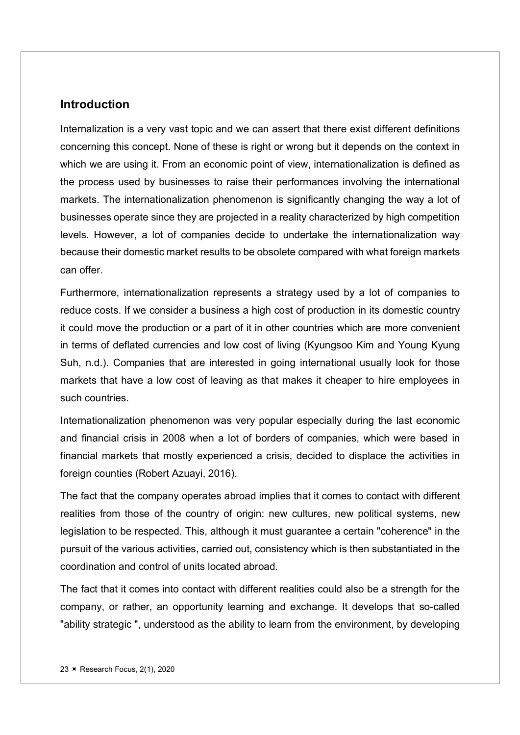#### **Introduction**

Internalization is a very vast topic and we can assert that there exist different definitions concerning this concept. None of these is right or wrong but it depends on the context in which we are using it. From an economic point of view, internationalization is defined as the process used by businesses to raise their performances involving the international markets. The internationalization phenomenon is significantly changing the way a lot of businesses operate since they are projected in a reality characterized by high competition levels. However, a lot of companies decide to undertake the internationalization way because their domestic market results to be obsolete compared with what foreign markets can offer.

Furthermore, internationalization represents a strategy used by a lot of companies to reduce costs. If we consider a business a high cost of production in its domestic country it could move the production or a part of it in other countries which are more convenient in terms of deflated currencies and low cost of living (Kyungsoo Kim and Young Kyung Suh, n.d.). Companies that are interested in going international usually look for those markets that have a low cost of leaving as that makes it cheaper to hire employees in such countries.

Internationalization phenomenon was very popular especially during the last economic and financial crisis in 2008 when a lot of borders of companies, which were based in financial markets that mostly experienced a crisis, decided to displace the activities in foreign counties (Robert Azuayi, 2016).

The fact that the company operates abroad implies that it comes to contact with different realities from those of the country of origin: new cultures, new political systems, new legislation to be respected. This, although it must guarantee a certain "coherence" in the pursuit of the various activities, carried out, consistency which is then substantiated in the coordination and control of units located abroad.

The fact that it comes into contact with different realities could also be a strength for the company, or rather, an opportunity learning and exchange. It develops that so-called "ability strategic ", understood as the ability to learn from the environment, by developing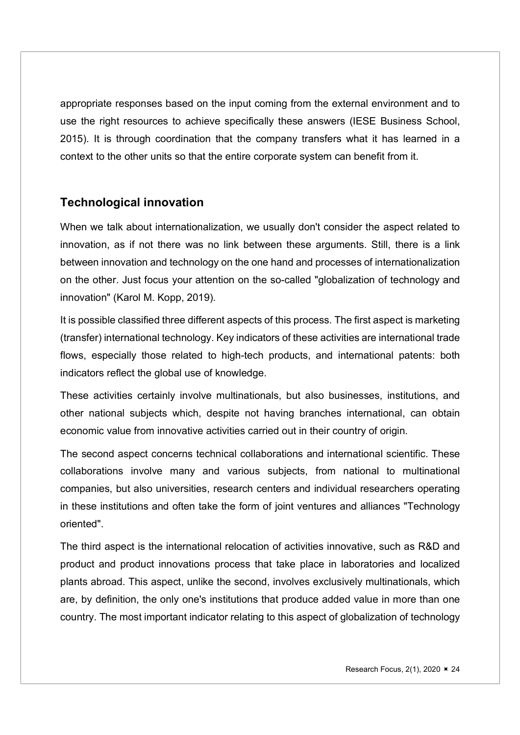appropriate responses based on the input coming from the external environment and to use the right resources to achieve specifically these answers (IESE Business School, 2015). It is through coordination that the company transfers what it has learned in a context to the other units so that the entire corporate system can benefit from it.

#### Technological innovation

When we talk about internationalization, we usually don't consider the aspect related to innovation, as if not there was no link between these arguments. Still, there is a link between innovation and technology on the one hand and processes of internationalization on the other. Just focus your attention on the so-called "globalization of technology and innovation" (Karol M. Kopp, 2019).

It is possible classified three different aspects of this process. The first aspect is marketing (transfer) international technology. Key indicators of these activities are international trade flows, especially those related to high-tech products, and international patents: both indicators reflect the global use of knowledge.

These activities certainly involve multinationals, but also businesses, institutions, and other national subjects which, despite not having branches international, can obtain economic value from innovative activities carried out in their country of origin.

The second aspect concerns technical collaborations and international scientific. These collaborations involve many and various subjects, from national to multinational companies, but also universities, research centers and individual researchers operating in these institutions and often take the form of joint ventures and alliances "Technology oriented".

The third aspect is the international relocation of activities innovative, such as R&D and product and product innovations process that take place in laboratories and localized plants abroad. This aspect, unlike the second, involves exclusively multinationals, which are, by definition, the only one's institutions that produce added value in more than one country. The most important indicator relating to this aspect of globalization of technology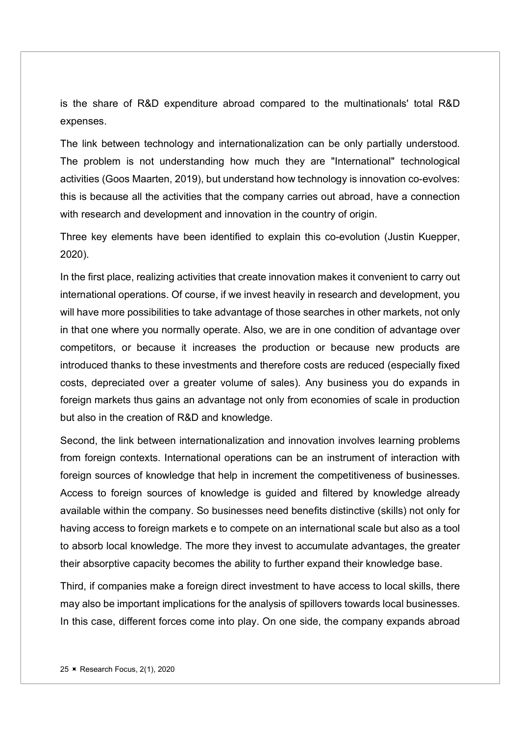is the share of R&D expenditure abroad compared to the multinationals' total R&D expenses.

The link between technology and internationalization can be only partially understood. The problem is not understanding how much they are "International" technological activities (Goos Maarten, 2019), but understand how technology is innovation co-evolves: this is because all the activities that the company carries out abroad, have a connection with research and development and innovation in the country of origin.

Three key elements have been identified to explain this co-evolution (Justin Kuepper, 2020).

In the first place, realizing activities that create innovation makes it convenient to carry out international operations. Of course, if we invest heavily in research and development, you will have more possibilities to take advantage of those searches in other markets, not only in that one where you normally operate. Also, we are in one condition of advantage over competitors, or because it increases the production or because new products are introduced thanks to these investments and therefore costs are reduced (especially fixed costs, depreciated over a greater volume of sales). Any business you do expands in foreign markets thus gains an advantage not only from economies of scale in production but also in the creation of R&D and knowledge.

Second, the link between internationalization and innovation involves learning problems from foreign contexts. International operations can be an instrument of interaction with foreign sources of knowledge that help in increment the competitiveness of businesses. Access to foreign sources of knowledge is guided and filtered by knowledge already available within the company. So businesses need benefits distinctive (skills) not only for having access to foreign markets e to compete on an international scale but also as a tool to absorb local knowledge. The more they invest to accumulate advantages, the greater their absorptive capacity becomes the ability to further expand their knowledge base.

Third, if companies make a foreign direct investment to have access to local skills, there may also be important implications for the analysis of spillovers towards local businesses. In this case, different forces come into play. On one side, the company expands abroad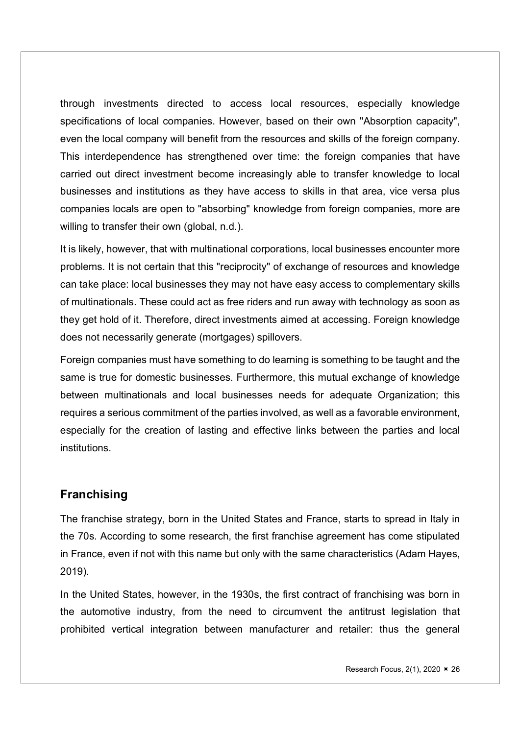through investments directed to access local resources, especially knowledge specifications of local companies. However, based on their own "Absorption capacity", even the local company will benefit from the resources and skills of the foreign company. This interdependence has strengthened over time: the foreign companies that have carried out direct investment become increasingly able to transfer knowledge to local businesses and institutions as they have access to skills in that area, vice versa plus companies locals are open to "absorbing" knowledge from foreign companies, more are willing to transfer their own (global, n.d.).

It is likely, however, that with multinational corporations, local businesses encounter more problems. It is not certain that this "reciprocity" of exchange of resources and knowledge can take place: local businesses they may not have easy access to complementary skills of multinationals. These could act as free riders and run away with technology as soon as they get hold of it. Therefore, direct investments aimed at accessing. Foreign knowledge does not necessarily generate (mortgages) spillovers.

Foreign companies must have something to do learning is something to be taught and the same is true for domestic businesses. Furthermore, this mutual exchange of knowledge between multinationals and local businesses needs for adequate Organization; this requires a serious commitment of the parties involved, as well as a favorable environment, especially for the creation of lasting and effective links between the parties and local institutions.

#### **Franchising**

The franchise strategy, born in the United States and France, starts to spread in Italy in the 70s. According to some research, the first franchise agreement has come stipulated in France, even if not with this name but only with the same characteristics (Adam Hayes, 2019).

In the United States, however, in the 1930s, the first contract of franchising was born in the automotive industry, from the need to circumvent the antitrust legislation that prohibited vertical integration between manufacturer and retailer: thus the general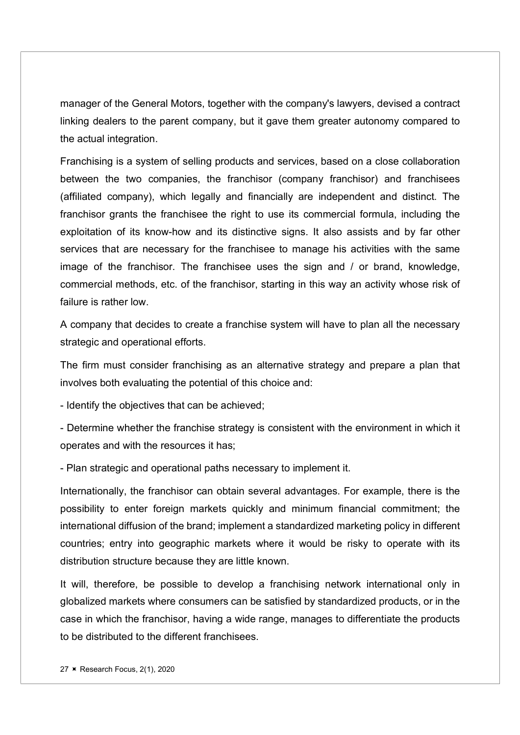manager of the General Motors, together with the company's lawyers, devised a contract linking dealers to the parent company, but it gave them greater autonomy compared to the actual integration.

Franchising is a system of selling products and services, based on a close collaboration between the two companies, the franchisor (company franchisor) and franchisees (affiliated company), which legally and financially are independent and distinct. The franchisor grants the franchisee the right to use its commercial formula, including the exploitation of its know-how and its distinctive signs. It also assists and by far other services that are necessary for the franchisee to manage his activities with the same image of the franchisor. The franchisee uses the sign and / or brand, knowledge, commercial methods, etc. of the franchisor, starting in this way an activity whose risk of failure is rather low.

A company that decides to create a franchise system will have to plan all the necessary strategic and operational efforts.

The firm must consider franchising as an alternative strategy and prepare a plan that involves both evaluating the potential of this choice and:

- Identify the objectives that can be achieved;

- Determine whether the franchise strategy is consistent with the environment in which it operates and with the resources it has;

- Plan strategic and operational paths necessary to implement it.

Internationally, the franchisor can obtain several advantages. For example, there is the possibility to enter foreign markets quickly and minimum financial commitment; the international diffusion of the brand; implement a standardized marketing policy in different countries; entry into geographic markets where it would be risky to operate with its distribution structure because they are little known.

It will, therefore, be possible to develop a franchising network international only in globalized markets where consumers can be satisfied by standardized products, or in the case in which the franchisor, having a wide range, manages to differentiate the products to be distributed to the different franchisees.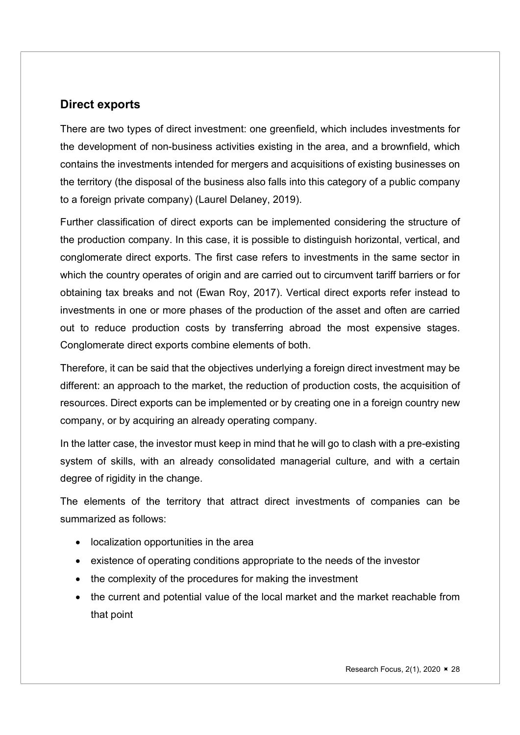#### Direct exports

There are two types of direct investment: one greenfield, which includes investments for the development of non-business activities existing in the area, and a brownfield, which contains the investments intended for mergers and acquisitions of existing businesses on the territory (the disposal of the business also falls into this category of a public company to a foreign private company) (Laurel Delaney, 2019).

Further classification of direct exports can be implemented considering the structure of the production company. In this case, it is possible to distinguish horizontal, vertical, and conglomerate direct exports. The first case refers to investments in the same sector in which the country operates of origin and are carried out to circumvent tariff barriers or for obtaining tax breaks and not (Ewan Roy, 2017). Vertical direct exports refer instead to investments in one or more phases of the production of the asset and often are carried out to reduce production costs by transferring abroad the most expensive stages. Conglomerate direct exports combine elements of both.

Therefore, it can be said that the objectives underlying a foreign direct investment may be different: an approach to the market, the reduction of production costs, the acquisition of resources. Direct exports can be implemented or by creating one in a foreign country new company, or by acquiring an already operating company.

In the latter case, the investor must keep in mind that he will go to clash with a pre-existing system of skills, with an already consolidated managerial culture, and with a certain degree of rigidity in the change.

The elements of the territory that attract direct investments of companies can be summarized as follows:

- localization opportunities in the area
- existence of operating conditions appropriate to the needs of the investor
- the complexity of the procedures for making the investment
- the current and potential value of the local market and the market reachable from that point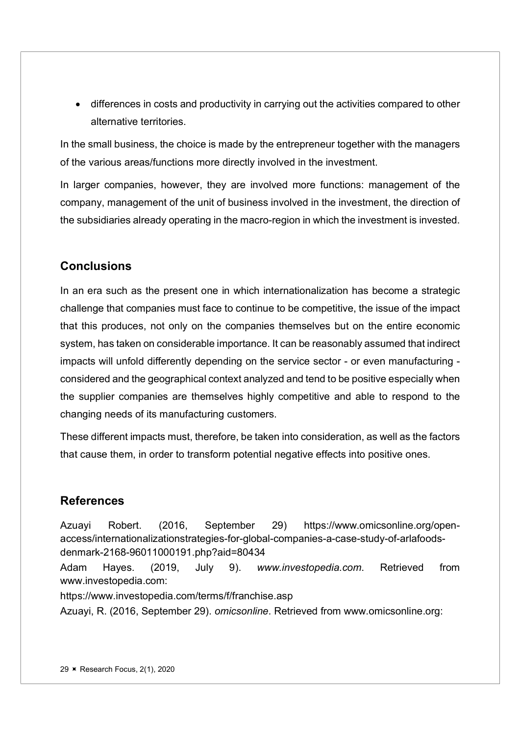differences in costs and productivity in carrying out the activities compared to other alternative territories.

In the small business, the choice is made by the entrepreneur together with the managers of the various areas/functions more directly involved in the investment.

In larger companies, however, they are involved more functions: management of the company, management of the unit of business involved in the investment, the direction of the subsidiaries already operating in the macro-region in which the investment is invested.

#### **Conclusions**

In an era such as the present one in which internationalization has become a strategic challenge that companies must face to continue to be competitive, the issue of the impact that this produces, not only on the companies themselves but on the entire economic system, has taken on considerable importance. It can be reasonably assumed that indirect impacts will unfold differently depending on the service sector - or even manufacturing considered and the geographical context analyzed and tend to be positive especially when the supplier companies are themselves highly competitive and able to respond to the changing needs of its manufacturing customers.

These different impacts must, therefore, be taken into consideration, as well as the factors that cause them, in order to transform potential negative effects into positive ones.

#### References

Azuayi Robert. (2016, September 29) https://www.omicsonline.org/openaccess/internationalizationstrategies-for-global-companies-a-case-study-of-arlafoodsdenmark-2168-96011000191.php?aid=80434 Adam Hayes. (2019, July 9). www.investopedia.com. Retrieved from www.investopedia.com: https://www.investopedia.com/terms/f/franchise.asp

Azuayi, R. (2016, September 29). omicsonline. Retrieved from www.omicsonline.org: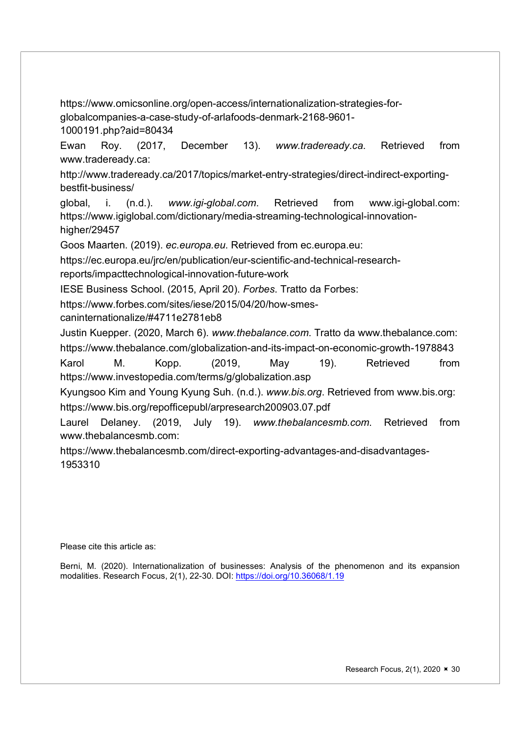https://www.omicsonline.org/open-access/internationalization-strategies-forglobalcompanies-a-case-study-of-arlafoods-denmark-2168-9601- 1000191.php?aid=80434

Ewan Roy. (2017, December 13). www.tradeready.ca. Retrieved from www.tradeready.ca:

http://www.tradeready.ca/2017/topics/market-entry-strategies/direct-indirect-exportingbestfit-business/

global, i. (n.d.). www.igi-global.com. Retrieved from www.igi-global.com: https://www.igiglobal.com/dictionary/media-streaming-technological-innovationhigher/29457

Goos Maarten. (2019). ec.europa.eu. Retrieved from ec.europa.eu:

https://ec.europa.eu/jrc/en/publication/eur-scientific-and-technical-research-

reports/impacttechnological-innovation-future-work

IESE Business School. (2015, April 20). Forbes. Tratto da Forbes:

https://www.forbes.com/sites/iese/2015/04/20/how-smes-

caninternationalize/#4711e2781eb8

Justin Kuepper. (2020, March 6). www.thebalance.com. Tratto da www.thebalance.com:

https://www.thebalance.com/globalization-and-its-impact-on-economic-growth-1978843

Karol M. Kopp. (2019, May 19). Retrieved from https://www.investopedia.com/terms/g/globalization.asp

Kyungsoo Kim and Young Kyung Suh. (n.d.). www.bis.org. Retrieved from www.bis.org: https://www.bis.org/repofficepubl/arpresearch200903.07.pdf

Laurel Delaney. (2019, July 19). www.thebalancesmb.com. Retrieved from www.thebalancesmb.com:

https://www.thebalancesmb.com/direct-exporting-advantages-and-disadvantages-1953310

Please cite this article as:

Berni, M. (2020). Internationalization of businesses: Analysis of the phenomenon and its expansion modalities. Research Focus, 2(1), 22-30. DOI: https://doi.org/10.36068/1.19

Research Focus,  $2(1)$ ,  $2020 \times 30$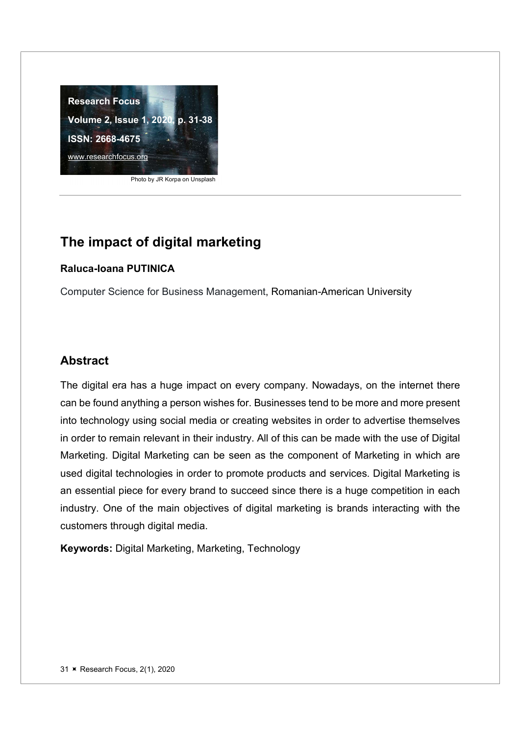

Photo by JR Korpa on Unsplash

## The impact of digital marketing

#### Raluca-Ioana PUTINICA

Computer Science for Business Management, Romanian-American University

#### Abstract

The digital era has a huge impact on every company. Nowadays, on the internet there can be found anything a person wishes for. Businesses tend to be more and more present into technology using social media or creating websites in order to advertise themselves in order to remain relevant in their industry. All of this can be made with the use of Digital Marketing. Digital Marketing can be seen as the component of Marketing in which are used digital technologies in order to promote products and services. Digital Marketing is an essential piece for every brand to succeed since there is a huge competition in each industry. One of the main objectives of digital marketing is brands interacting with the customers through digital media.

Keywords: Digital Marketing, Marketing, Technology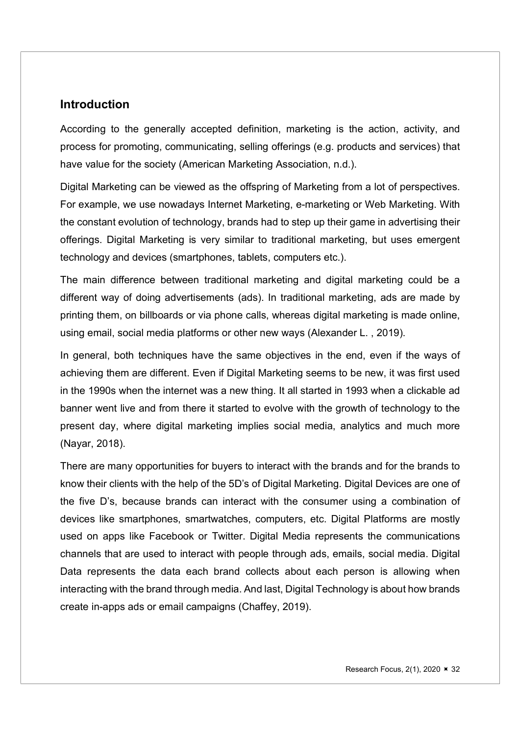#### **Introduction**

According to the generally accepted definition, marketing is the action, activity, and process for promoting, communicating, selling offerings (e.g. products and services) that have value for the society (American Marketing Association, n.d.).

Digital Marketing can be viewed as the offspring of Marketing from a lot of perspectives. For example, we use nowadays Internet Marketing, e-marketing or Web Marketing. With the constant evolution of technology, brands had to step up their game in advertising their offerings. Digital Marketing is very similar to traditional marketing, but uses emergent technology and devices (smartphones, tablets, computers etc.).

The main difference between traditional marketing and digital marketing could be a different way of doing advertisements (ads). In traditional marketing, ads are made by printing them, on billboards or via phone calls, whereas digital marketing is made online, using email, social media platforms or other new ways (Alexander L. , 2019).

In general, both techniques have the same objectives in the end, even if the ways of achieving them are different. Even if Digital Marketing seems to be new, it was first used in the 1990s when the internet was a new thing. It all started in 1993 when a clickable ad banner went live and from there it started to evolve with the growth of technology to the present day, where digital marketing implies social media, analytics and much more (Nayar, 2018).

There are many opportunities for buyers to interact with the brands and for the brands to know their clients with the help of the 5D's of Digital Marketing. Digital Devices are one of the five D's, because brands can interact with the consumer using a combination of devices like smartphones, smartwatches, computers, etc. Digital Platforms are mostly used on apps like Facebook or Twitter. Digital Media represents the communications channels that are used to interact with people through ads, emails, social media. Digital Data represents the data each brand collects about each person is allowing when interacting with the brand through media. And last, Digital Technology is about how brands create in-apps ads or email campaigns (Chaffey, 2019).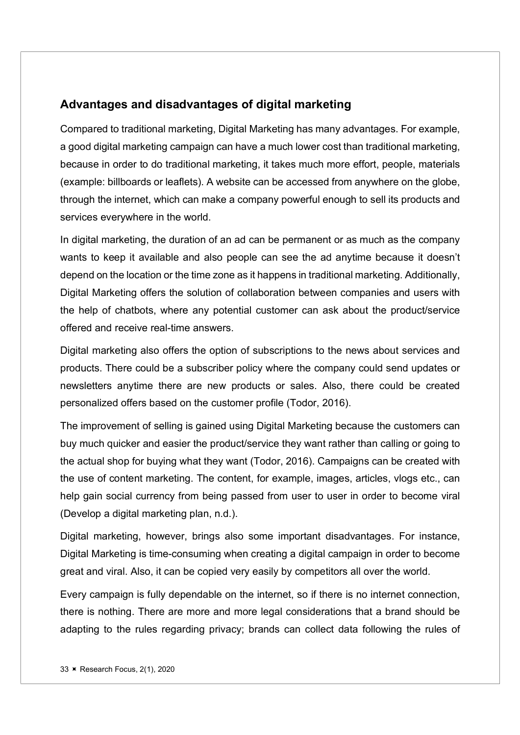#### Advantages and disadvantages of digital marketing

Compared to traditional marketing, Digital Marketing has many advantages. For example, a good digital marketing campaign can have a much lower cost than traditional marketing, because in order to do traditional marketing, it takes much more effort, people, materials (example: billboards or leaflets). A website can be accessed from anywhere on the globe, through the internet, which can make a company powerful enough to sell its products and services everywhere in the world.

In digital marketing, the duration of an ad can be permanent or as much as the company wants to keep it available and also people can see the ad anytime because it doesn't depend on the location or the time zone as it happens in traditional marketing. Additionally, Digital Marketing offers the solution of collaboration between companies and users with the help of chatbots, where any potential customer can ask about the product/service offered and receive real-time answers.

Digital marketing also offers the option of subscriptions to the news about services and products. There could be a subscriber policy where the company could send updates or newsletters anytime there are new products or sales. Also, there could be created personalized offers based on the customer profile (Todor, 2016).

The improvement of selling is gained using Digital Marketing because the customers can buy much quicker and easier the product/service they want rather than calling or going to the actual shop for buying what they want (Todor, 2016). Campaigns can be created with the use of content marketing. The content, for example, images, articles, vlogs etc., can help gain social currency from being passed from user to user in order to become viral (Develop a digital marketing plan, n.d.).

Digital marketing, however, brings also some important disadvantages. For instance, Digital Marketing is time-consuming when creating a digital campaign in order to become great and viral. Also, it can be copied very easily by competitors all over the world.

Every campaign is fully dependable on the internet, so if there is no internet connection, there is nothing. There are more and more legal considerations that a brand should be adapting to the rules regarding privacy; brands can collect data following the rules of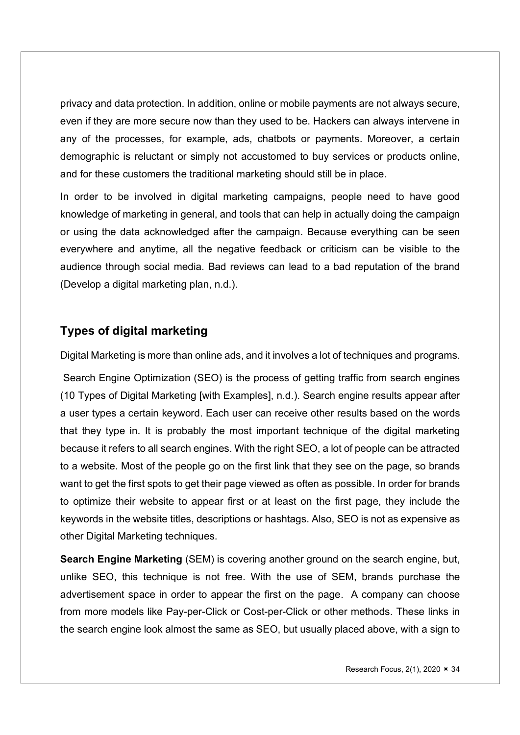privacy and data protection. In addition, online or mobile payments are not always secure, even if they are more secure now than they used to be. Hackers can always intervene in any of the processes, for example, ads, chatbots or payments. Moreover, a certain demographic is reluctant or simply not accustomed to buy services or products online, and for these customers the traditional marketing should still be in place.

In order to be involved in digital marketing campaigns, people need to have good knowledge of marketing in general, and tools that can help in actually doing the campaign or using the data acknowledged after the campaign. Because everything can be seen everywhere and anytime, all the negative feedback or criticism can be visible to the audience through social media. Bad reviews can lead to a bad reputation of the brand (Develop a digital marketing plan, n.d.).

#### Types of digital marketing

Digital Marketing is more than online ads, and it involves a lot of techniques and programs.

 Search Engine Optimization (SEO) is the process of getting traffic from search engines (10 Types of Digital Marketing [with Examples], n.d.). Search engine results appear after a user types a certain keyword. Each user can receive other results based on the words that they type in. It is probably the most important technique of the digital marketing because it refers to all search engines. With the right SEO, a lot of people can be attracted to a website. Most of the people go on the first link that they see on the page, so brands want to get the first spots to get their page viewed as often as possible. In order for brands to optimize their website to appear first or at least on the first page, they include the keywords in the website titles, descriptions or hashtags. Also, SEO is not as expensive as other Digital Marketing techniques.

Search Engine Marketing (SEM) is covering another ground on the search engine, but, unlike SEO, this technique is not free. With the use of SEM, brands purchase the advertisement space in order to appear the first on the page. A company can choose from more models like Pay-per-Click or Cost-per-Click or other methods. These links in the search engine look almost the same as SEO, but usually placed above, with a sign to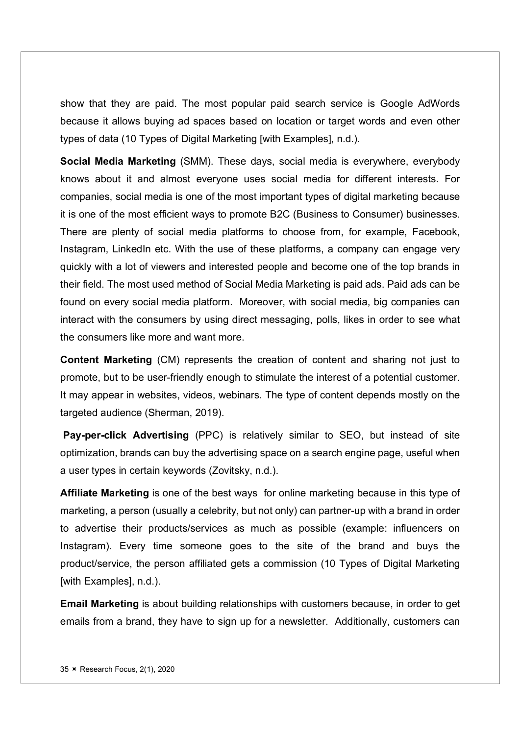show that they are paid. The most popular paid search service is Google AdWords because it allows buying ad spaces based on location or target words and even other types of data (10 Types of Digital Marketing [with Examples], n.d.).

Social Media Marketing (SMM). These days, social media is everywhere, everybody knows about it and almost everyone uses social media for different interests. For companies, social media is one of the most important types of digital marketing because it is one of the most efficient ways to promote B2C (Business to Consumer) businesses. There are plenty of social media platforms to choose from, for example, Facebook, Instagram, LinkedIn etc. With the use of these platforms, a company can engage very quickly with a lot of viewers and interested people and become one of the top brands in their field. The most used method of Social Media Marketing is paid ads. Paid ads can be found on every social media platform. Moreover, with social media, big companies can interact with the consumers by using direct messaging, polls, likes in order to see what the consumers like more and want more.

Content Marketing (CM) represents the creation of content and sharing not just to promote, but to be user-friendly enough to stimulate the interest of a potential customer. It may appear in websites, videos, webinars. The type of content depends mostly on the targeted audience (Sherman, 2019).

 Pay-per-click Advertising (PPC) is relatively similar to SEO, but instead of site optimization, brands can buy the advertising space on a search engine page, useful when a user types in certain keywords (Zovitsky, n.d.).

Affiliate Marketing is one of the best ways for online marketing because in this type of marketing, a person (usually a celebrity, but not only) can partner-up with a brand in order to advertise their products/services as much as possible (example: influencers on Instagram). Every time someone goes to the site of the brand and buys the product/service, the person affiliated gets a commission (10 Types of Digital Marketing [with Examples], n.d.).

Email Marketing is about building relationships with customers because, in order to get emails from a brand, they have to sign up for a newsletter. Additionally, customers can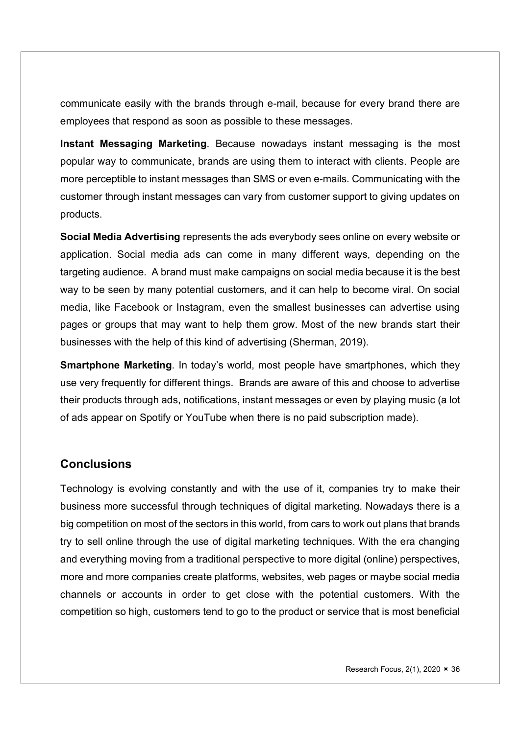communicate easily with the brands through e-mail, because for every brand there are employees that respond as soon as possible to these messages.

Instant Messaging Marketing. Because nowadays instant messaging is the most popular way to communicate, brands are using them to interact with clients. People are more perceptible to instant messages than SMS or even e-mails. Communicating with the customer through instant messages can vary from customer support to giving updates on products.

Social Media Advertising represents the ads everybody sees online on every website or application. Social media ads can come in many different ways, depending on the targeting audience. A brand must make campaigns on social media because it is the best way to be seen by many potential customers, and it can help to become viral. On social media, like Facebook or Instagram, even the smallest businesses can advertise using pages or groups that may want to help them grow. Most of the new brands start their businesses with the help of this kind of advertising (Sherman, 2019).

**Smartphone Marketing**. In today's world, most people have smartphones, which they use very frequently for different things. Brands are aware of this and choose to advertise their products through ads, notifications, instant messages or even by playing music (a lot of ads appear on Spotify or YouTube when there is no paid subscription made).

## **Conclusions**

Technology is evolving constantly and with the use of it, companies try to make their business more successful through techniques of digital marketing. Nowadays there is a big competition on most of the sectors in this world, from cars to work out plans that brands try to sell online through the use of digital marketing techniques. With the era changing and everything moving from a traditional perspective to more digital (online) perspectives, more and more companies create platforms, websites, web pages or maybe social media channels or accounts in order to get close with the potential customers. With the competition so high, customers tend to go to the product or service that is most beneficial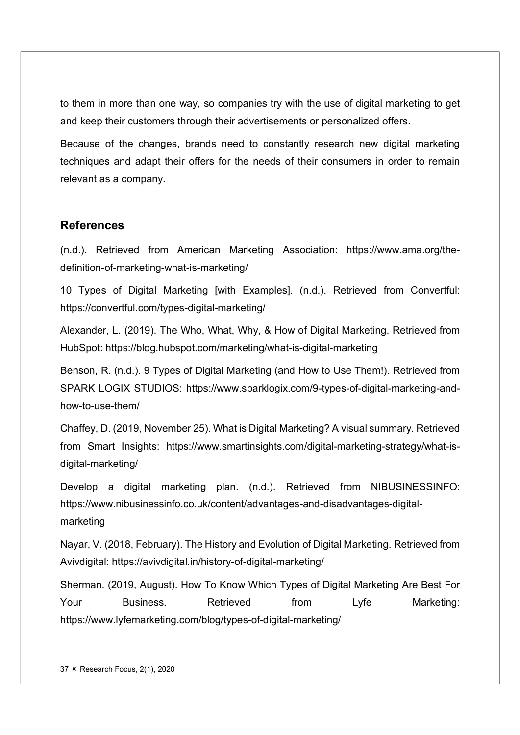to them in more than one way, so companies try with the use of digital marketing to get and keep their customers through their advertisements or personalized offers.

Because of the changes, brands need to constantly research new digital marketing techniques and adapt their offers for the needs of their consumers in order to remain relevant as a company.

### **References**

(n.d.). Retrieved from American Marketing Association: https://www.ama.org/thedefinition-of-marketing-what-is-marketing/

10 Types of Digital Marketing [with Examples]. (n.d.). Retrieved from Convertful: https://convertful.com/types-digital-marketing/

Alexander, L. (2019). The Who, What, Why, & How of Digital Marketing. Retrieved from HubSpot: https://blog.hubspot.com/marketing/what-is-digital-marketing

Benson, R. (n.d.). 9 Types of Digital Marketing (and How to Use Them!). Retrieved from SPARK LOGIX STUDIOS: https://www.sparklogix.com/9-types-of-digital-marketing-andhow-to-use-them/

Chaffey, D. (2019, November 25). What is Digital Marketing? A visual summary. Retrieved from Smart Insights: https://www.smartinsights.com/digital-marketing-strategy/what-isdigital-marketing/

Develop a digital marketing plan. (n.d.). Retrieved from NIBUSINESSINFO: https://www.nibusinessinfo.co.uk/content/advantages-and-disadvantages-digitalmarketing

Nayar, V. (2018, February). The History and Evolution of Digital Marketing. Retrieved from Avivdigital: https://avivdigital.in/history-of-digital-marketing/

Sherman. (2019, August). How To Know Which Types of Digital Marketing Are Best For Your Business. Retrieved from Lyfe Marketing: https://www.lyfemarketing.com/blog/types-of-digital-marketing/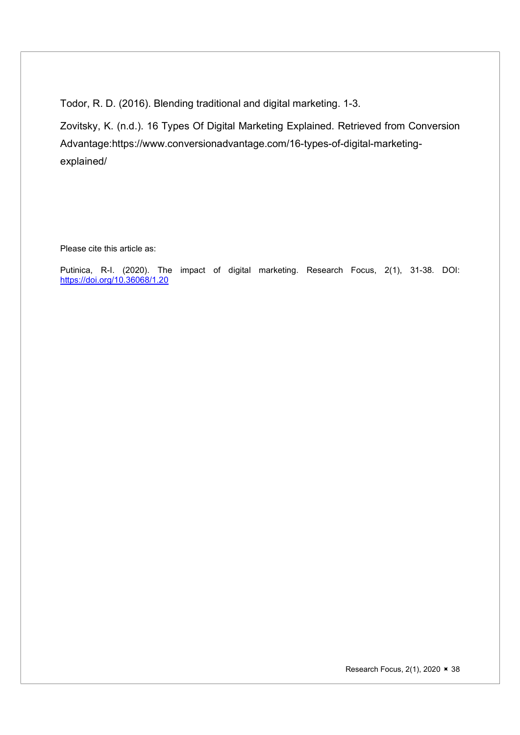Todor, R. D. (2016). Blending traditional and digital marketing. 1-3.

Zovitsky, K. (n.d.). 16 Types Of Digital Marketing Explained. Retrieved from Conversion Advantage:https://www.conversionadvantage.com/16-types-of-digital-marketingexplained/

Please cite this article as:

Putinica, R-I. (2020). The impact of digital marketing. Research Focus, 2(1), 31-38. DOI: https://doi.org/10.36068/1.20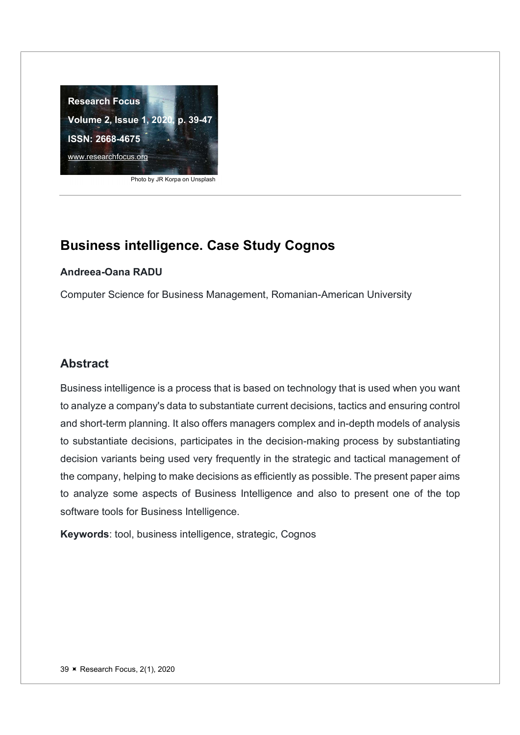

#### Photo by JR Korpa on Unsplash

#### Andreea-Oana RADU

Computer Science for Business Management, Romanian-American University

### Abstract

Business intelligence is a process that is based on technology that is used when you want to analyze a company's data to substantiate current decisions, tactics and ensuring control and short-term planning. It also offers managers complex and in-depth models of analysis to substantiate decisions, participates in the decision-making process by substantiating decision variants being used very frequently in the strategic and tactical management of the company, helping to make decisions as efficiently as possible. The present paper aims to analyze some aspects of Business Intelligence and also to present one of the top software tools for Business Intelligence.

Keywords: tool, business intelligence, strategic, Cognos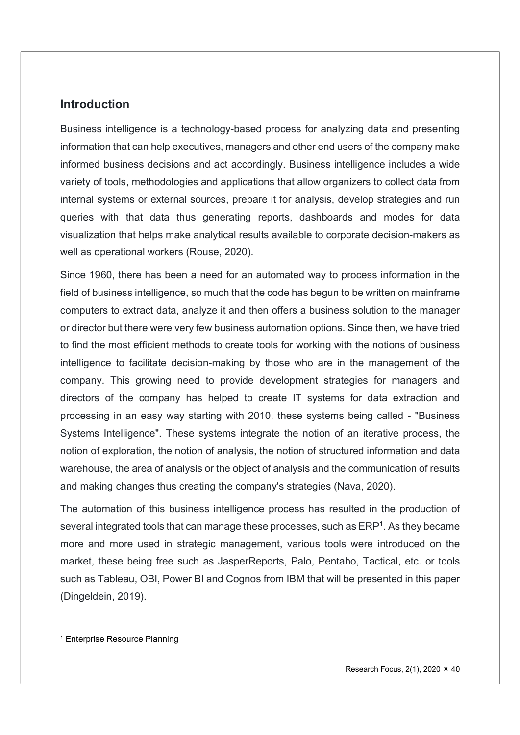#### **Introduction**

Business intelligence is a technology-based process for analyzing data and presenting information that can help executives, managers and other end users of the company make informed business decisions and act accordingly. Business intelligence includes a wide variety of tools, methodologies and applications that allow organizers to collect data from internal systems or external sources, prepare it for analysis, develop strategies and run queries with that data thus generating reports, dashboards and modes for data visualization that helps make analytical results available to corporate decision-makers as well as operational workers (Rouse, 2020).

Since 1960, there has been a need for an automated way to process information in the field of business intelligence, so much that the code has begun to be written on mainframe computers to extract data, analyze it and then offers a business solution to the manager or director but there were very few business automation options. Since then, we have tried to find the most efficient methods to create tools for working with the notions of business intelligence to facilitate decision-making by those who are in the management of the company. This growing need to provide development strategies for managers and directors of the company has helped to create IT systems for data extraction and processing in an easy way starting with 2010, these systems being called - "Business Systems Intelligence". These systems integrate the notion of an iterative process, the notion of exploration, the notion of analysis, the notion of structured information and data warehouse, the area of analysis or the object of analysis and the communication of results and making changes thus creating the company's strategies (Nava, 2020).

The automation of this business intelligence process has resulted in the production of several integrated tools that can manage these processes, such as ERP<sup>1</sup>. As they became more and more used in strategic management, various tools were introduced on the market, these being free such as JasperReports, Palo, Pentaho, Tactical, etc. or tools such as Tableau, OBI, Power BI and Cognos from IBM that will be presented in this paper (Dingeldein, 2019).

<sup>1</sup> Enterprise Resource Planning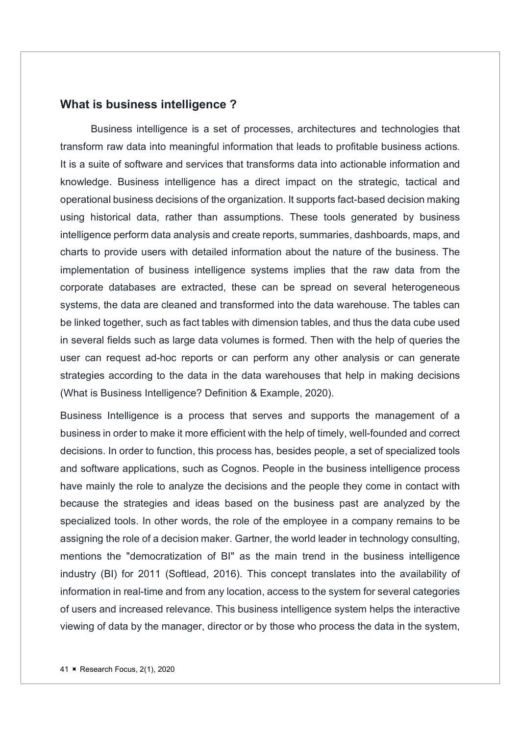#### What is business intelligence ?

Business intelligence is a set of processes, architectures and technologies that transform raw data into meaningful information that leads to profitable business actions. It is a suite of software and services that transforms data into actionable information and knowledge. Business intelligence has a direct impact on the strategic, tactical and operational business decisions of the organization. It supports fact-based decision making using historical data, rather than assumptions. These tools generated by business intelligence perform data analysis and create reports, summaries, dashboards, maps, and charts to provide users with detailed information about the nature of the business. The implementation of business intelligence systems implies that the raw data from the corporate databases are extracted, these can be spread on several heterogeneous systems, the data are cleaned and transformed into the data warehouse. The tables can be linked together, such as fact tables with dimension tables, and thus the data cube used in several fields such as large data volumes is formed. Then with the help of queries the user can request ad-hoc reports or can perform any other analysis or can generate strategies according to the data in the data warehouses that help in making decisions (What is Business Intelligence? Definition & Example, 2020).

Business Intelligence is a process that serves and supports the management of a business in order to make it more efficient with the help of timely, well-founded and correct decisions. In order to function, this process has, besides people, a set of specialized tools and software applications, such as Cognos. People in the business intelligence process have mainly the role to analyze the decisions and the people they come in contact with because the strategies and ideas based on the business past are analyzed by the specialized tools. In other words, the role of the employee in a company remains to be assigning the role of a decision maker. Gartner, the world leader in technology consulting, mentions the "democratization of BI" as the main trend in the business intelligence industry (BI) for 2011 (Softlead, 2016). This concept translates into the availability of information in real-time and from any location, access to the system for several categories of users and increased relevance. This business intelligence system helps the interactive viewing of data by the manager, director or by those who process the data in the system,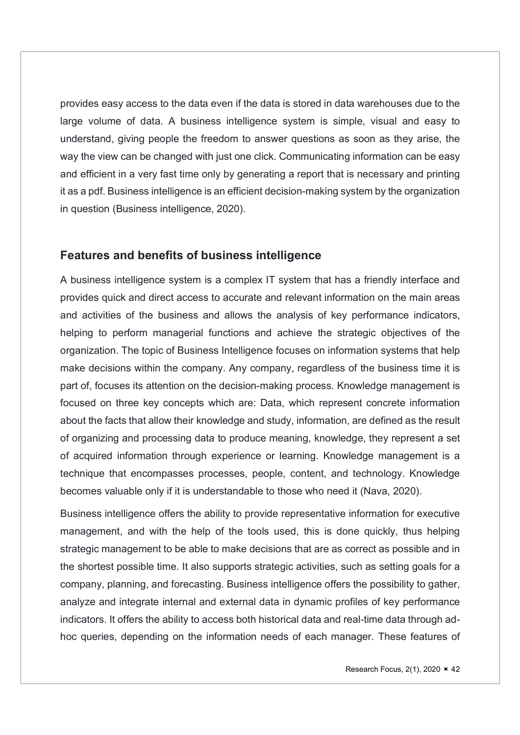provides easy access to the data even if the data is stored in data warehouses due to the large volume of data. A business intelligence system is simple, visual and easy to understand, giving people the freedom to answer questions as soon as they arise, the way the view can be changed with just one click. Communicating information can be easy and efficient in a very fast time only by generating a report that is necessary and printing it as a pdf. Business intelligence is an efficient decision-making system by the organization in question (Business intelligence, 2020).

## Features and benefits of business intelligence

A business intelligence system is a complex IT system that has a friendly interface and provides quick and direct access to accurate and relevant information on the main areas and activities of the business and allows the analysis of key performance indicators, helping to perform managerial functions and achieve the strategic objectives of the organization. The topic of Business Intelligence focuses on information systems that help make decisions within the company. Any company, regardless of the business time it is part of, focuses its attention on the decision-making process. Knowledge management is focused on three key concepts which are: Data, which represent concrete information about the facts that allow their knowledge and study, information, are defined as the result of organizing and processing data to produce meaning, knowledge, they represent a set of acquired information through experience or learning. Knowledge management is a technique that encompasses processes, people, content, and technology. Knowledge becomes valuable only if it is understandable to those who need it (Nava, 2020).

Business intelligence offers the ability to provide representative information for executive management, and with the help of the tools used, this is done quickly, thus helping strategic management to be able to make decisions that are as correct as possible and in the shortest possible time. It also supports strategic activities, such as setting goals for a company, planning, and forecasting. Business intelligence offers the possibility to gather, analyze and integrate internal and external data in dynamic profiles of key performance indicators. It offers the ability to access both historical data and real-time data through adhoc queries, depending on the information needs of each manager. These features of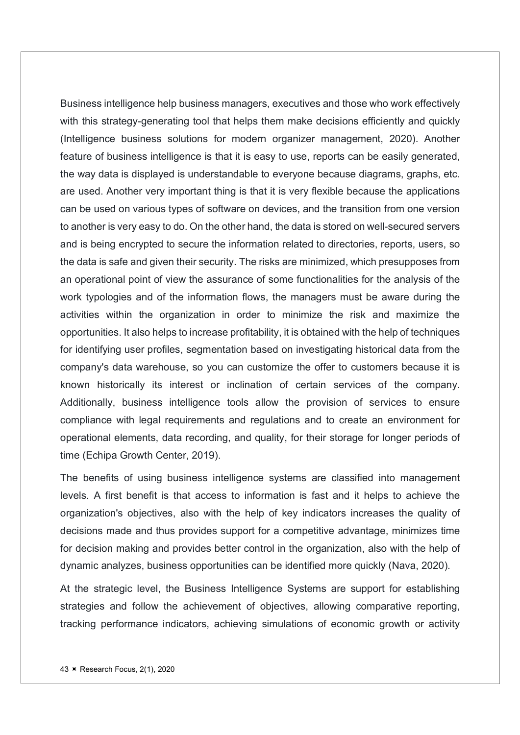Business intelligence help business managers, executives and those who work effectively with this strategy-generating tool that helps them make decisions efficiently and quickly (Intelligence business solutions for modern organizer management, 2020). Another feature of business intelligence is that it is easy to use, reports can be easily generated, the way data is displayed is understandable to everyone because diagrams, graphs, etc. are used. Another very important thing is that it is very flexible because the applications can be used on various types of software on devices, and the transition from one version to another is very easy to do. On the other hand, the data is stored on well-secured servers and is being encrypted to secure the information related to directories, reports, users, so the data is safe and given their security. The risks are minimized, which presupposes from an operational point of view the assurance of some functionalities for the analysis of the work typologies and of the information flows, the managers must be aware during the activities within the organization in order to minimize the risk and maximize the opportunities. It also helps to increase profitability, it is obtained with the help of techniques for identifying user profiles, segmentation based on investigating historical data from the company's data warehouse, so you can customize the offer to customers because it is known historically its interest or inclination of certain services of the company. Additionally, business intelligence tools allow the provision of services to ensure compliance with legal requirements and regulations and to create an environment for operational elements, data recording, and quality, for their storage for longer periods of time (Echipa Growth Center, 2019).

The benefits of using business intelligence systems are classified into management levels. A first benefit is that access to information is fast and it helps to achieve the organization's objectives, also with the help of key indicators increases the quality of decisions made and thus provides support for a competitive advantage, minimizes time for decision making and provides better control in the organization, also with the help of dynamic analyzes, business opportunities can be identified more quickly (Nava, 2020).

At the strategic level, the Business Intelligence Systems are support for establishing strategies and follow the achievement of objectives, allowing comparative reporting, tracking performance indicators, achieving simulations of economic growth or activity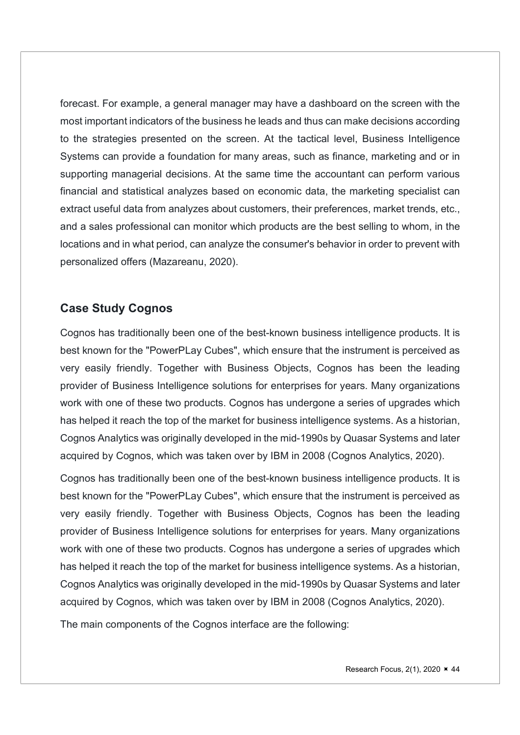forecast. For example, a general manager may have a dashboard on the screen with the most important indicators of the business he leads and thus can make decisions according to the strategies presented on the screen. At the tactical level, Business Intelligence Systems can provide a foundation for many areas, such as finance, marketing and or in supporting managerial decisions. At the same time the accountant can perform various financial and statistical analyzes based on economic data, the marketing specialist can extract useful data from analyzes about customers, their preferences, market trends, etc., and a sales professional can monitor which products are the best selling to whom, in the locations and in what period, can analyze the consumer's behavior in order to prevent with personalized offers (Mazareanu, 2020).

## Case Study Cognos

Cognos has traditionally been one of the best-known business intelligence products. It is best known for the "PowerPLay Cubes", which ensure that the instrument is perceived as very easily friendly. Together with Business Objects, Cognos has been the leading provider of Business Intelligence solutions for enterprises for years. Many organizations work with one of these two products. Cognos has undergone a series of upgrades which has helped it reach the top of the market for business intelligence systems. As a historian, Cognos Analytics was originally developed in the mid-1990s by Quasar Systems and later acquired by Cognos, which was taken over by IBM in 2008 (Cognos Analytics, 2020).

Cognos has traditionally been one of the best-known business intelligence products. It is best known for the "PowerPLay Cubes", which ensure that the instrument is perceived as very easily friendly. Together with Business Objects, Cognos has been the leading provider of Business Intelligence solutions for enterprises for years. Many organizations work with one of these two products. Cognos has undergone a series of upgrades which has helped it reach the top of the market for business intelligence systems. As a historian, Cognos Analytics was originally developed in the mid-1990s by Quasar Systems and later acquired by Cognos, which was taken over by IBM in 2008 (Cognos Analytics, 2020).

The main components of the Cognos interface are the following: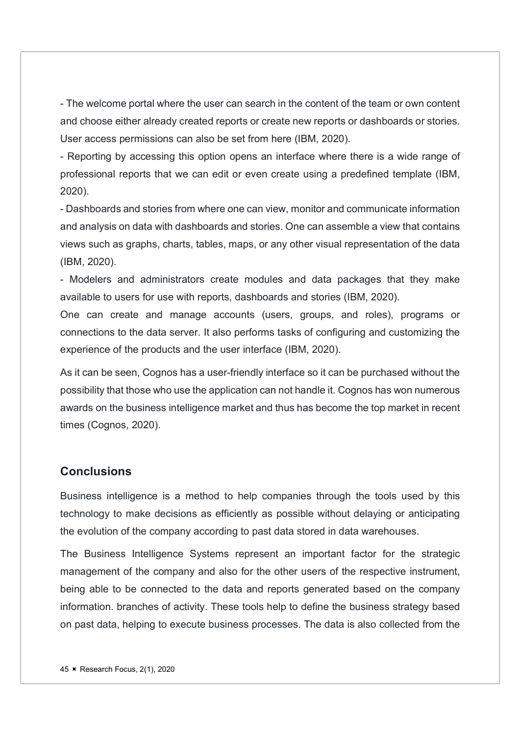- The welcome portal where the user can search in the content of the team or own content and choose either already created reports or create new reports or dashboards or stories. User access permissions can also be set from here (IBM, 2020).

- Reporting by accessing this option opens an interface where there is a wide range of professional reports that we can edit or even create using a predefined template (IBM, 2020).

- Dashboards and stories from where one can view, monitor and communicate information and analysis on data with dashboards and stories. One can assemble a view that contains views such as graphs, charts, tables, maps, or any other visual representation of the data (IBM, 2020).

- Modelers and administrators create modules and data packages that they make available to users for use with reports, dashboards and stories (IBM, 2020).

One can create and manage accounts (users, groups, and roles), programs or connections to the data server. It also performs tasks of configuring and customizing the experience of the products and the user interface (IBM, 2020).

As it can be seen, Cognos has a user-friendly interface so it can be purchased without the possibility that those who use the application can not handle it. Cognos has won numerous awards on the business intelligence market and thus has become the top market in recent times (Cognos, 2020).

#### **Conclusions**

Business intelligence is a method to help companies through the tools used by this technology to make decisions as efficiently as possible without delaying or anticipating the evolution of the company according to past data stored in data warehouses.

The Business Intelligence Systems represent an important factor for the strategic management of the company and also for the other users of the respective instrument, being able to be connected to the data and reports generated based on the company information. branches of activity. These tools help to define the business strategy based on past data, helping to execute business processes. The data is also collected from the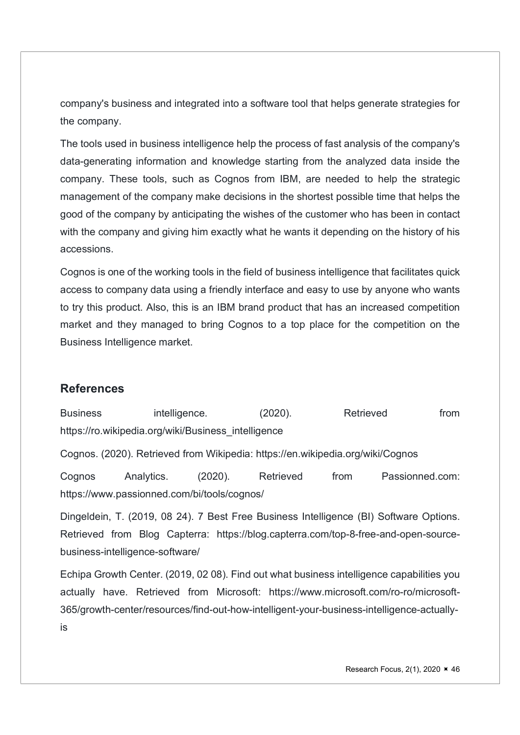company's business and integrated into a software tool that helps generate strategies for the company.

The tools used in business intelligence help the process of fast analysis of the company's data-generating information and knowledge starting from the analyzed data inside the company. These tools, such as Cognos from IBM, are needed to help the strategic management of the company make decisions in the shortest possible time that helps the good of the company by anticipating the wishes of the customer who has been in contact with the company and giving him exactly what he wants it depending on the history of his accessions.

Cognos is one of the working tools in the field of business intelligence that facilitates quick access to company data using a friendly interface and easy to use by anyone who wants to try this product. Also, this is an IBM brand product that has an increased competition market and they managed to bring Cognos to a top place for the competition on the Business Intelligence market.

## **References**

Business intelligence. (2020). Retrieved from https://ro.wikipedia.org/wiki/Business\_intelligence

Cognos. (2020). Retrieved from Wikipedia: https://en.wikipedia.org/wiki/Cognos

Cognos Analytics. (2020). Retrieved from Passionned.com: https://www.passionned.com/bi/tools/cognos/

Dingeldein, T. (2019, 08 24). 7 Best Free Business Intelligence (BI) Software Options. Retrieved from Blog Capterra: https://blog.capterra.com/top-8-free-and-open-sourcebusiness-intelligence-software/

Echipa Growth Center. (2019, 02 08). Find out what business intelligence capabilities you actually have. Retrieved from Microsoft: https://www.microsoft.com/ro-ro/microsoft-365/growth-center/resources/find-out-how-intelligent-your-business-intelligence-actuallyis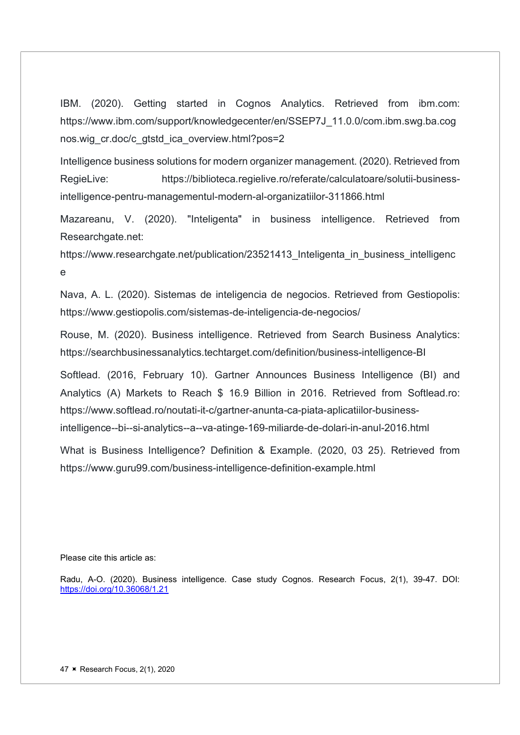IBM. (2020). Getting started in Cognos Analytics. Retrieved from ibm.com: https://www.ibm.com/support/knowledgecenter/en/SSEP7J\_11.0.0/com.ibm.swg.ba.cog nos.wig\_cr.doc/c\_gtstd\_ica\_overview.html?pos=2

Intelligence business solutions for modern organizer management. (2020). Retrieved from RegieLive: https://biblioteca.regielive.ro/referate/calculatoare/solutii-businessintelligence-pentru-managementul-modern-al-organizatiilor-311866.html

Mazareanu, V. (2020). "Inteligenta" in business intelligence. Retrieved from Researchgate.net:

https://www.researchgate.net/publication/23521413 Inteligenta in business intelligenc e

Nava, A. L. (2020). Sistemas de inteligencia de negocios. Retrieved from Gestiopolis: https://www.gestiopolis.com/sistemas-de-inteligencia-de-negocios/

Rouse, M. (2020). Business intelligence. Retrieved from Search Business Analytics: https://searchbusinessanalytics.techtarget.com/definition/business-intelligence-BI

Softlead. (2016, February 10). Gartner Announces Business Intelligence (BI) and Analytics (A) Markets to Reach \$ 16.9 Billion in 2016. Retrieved from Softlead.ro: https://www.softlead.ro/noutati-it-c/gartner-anunta-ca-piata-aplicatiilor-businessintelligence--bi--si-analytics--a--va-atinge-169-miliarde-de-dolari-in-anul-2016.html

What is Business Intelligence? Definition & Example. (2020, 03 25). Retrieved from https://www.guru99.com/business-intelligence-definition-example.html

Please cite this article as:

Radu, A-O. (2020). Business intelligence. Case study Cognos. Research Focus, 2(1), 39-47. DOI: https://doi.org/10.36068/1.21

47 **K** Research Focus, 2(1), 2020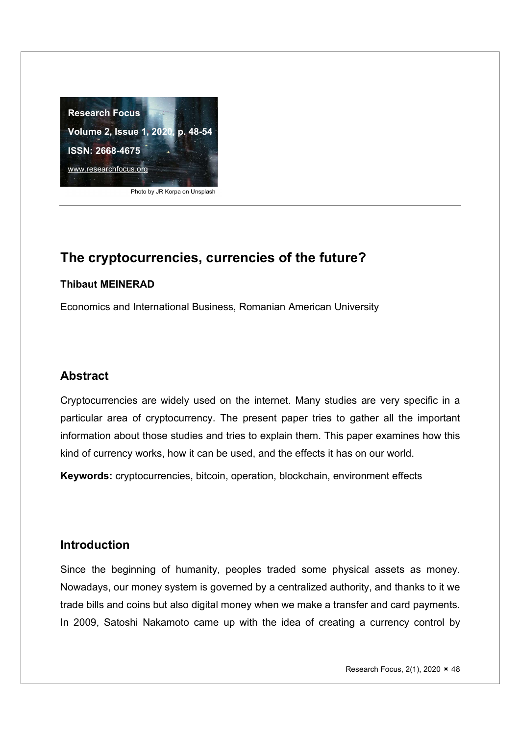

Photo by JR Korpa on Unsplash

## The cryptocurrencies, currencies of the future?

#### Thibaut MEINERAD

Economics and International Business, Romanian American University

## Abstract

Cryptocurrencies are widely used on the internet. Many studies are very specific in a particular area of cryptocurrency. The present paper tries to gather all the important information about those studies and tries to explain them. This paper examines how this kind of currency works, how it can be used, and the effects it has on our world.

Keywords: cryptocurrencies, bitcoin, operation, blockchain, environment effects

### Introduction

Since the beginning of humanity, peoples traded some physical assets as money. Nowadays, our money system is governed by a centralized authority, and thanks to it we trade bills and coins but also digital money when we make a transfer and card payments. In 2009, Satoshi Nakamoto came up with the idea of creating a currency control by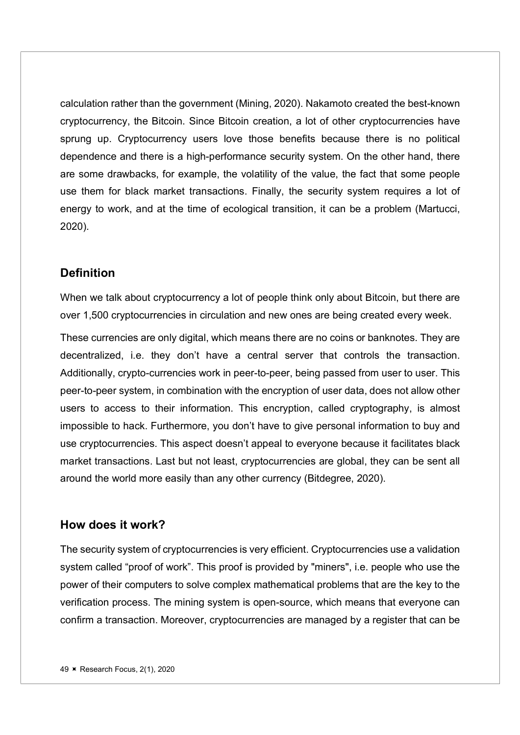calculation rather than the government (Mining, 2020). Nakamoto created the best-known cryptocurrency, the Bitcoin. Since Bitcoin creation, a lot of other cryptocurrencies have sprung up. Cryptocurrency users love those benefits because there is no political dependence and there is a high-performance security system. On the other hand, there are some drawbacks, for example, the volatility of the value, the fact that some people use them for black market transactions. Finally, the security system requires a lot of energy to work, and at the time of ecological transition, it can be a problem (Martucci, 2020).

## **Definition**

When we talk about cryptocurrency a lot of people think only about Bitcoin, but there are over 1,500 cryptocurrencies in circulation and new ones are being created every week.

These currencies are only digital, which means there are no coins or banknotes. They are decentralized, i.e. they don't have a central server that controls the transaction. Additionally, crypto-currencies work in peer-to-peer, being passed from user to user. This peer-to-peer system, in combination with the encryption of user data, does not allow other users to access to their information. This encryption, called cryptography, is almost impossible to hack. Furthermore, you don't have to give personal information to buy and use cryptocurrencies. This aspect doesn't appeal to everyone because it facilitates black market transactions. Last but not least, cryptocurrencies are global, they can be sent all around the world more easily than any other currency (Bitdegree, 2020).

### How does it work?

The security system of cryptocurrencies is very efficient. Cryptocurrencies use a validation system called "proof of work". This proof is provided by "miners", i.e. people who use the power of their computers to solve complex mathematical problems that are the key to the verification process. The mining system is open-source, which means that everyone can confirm a transaction. Moreover, cryptocurrencies are managed by a register that can be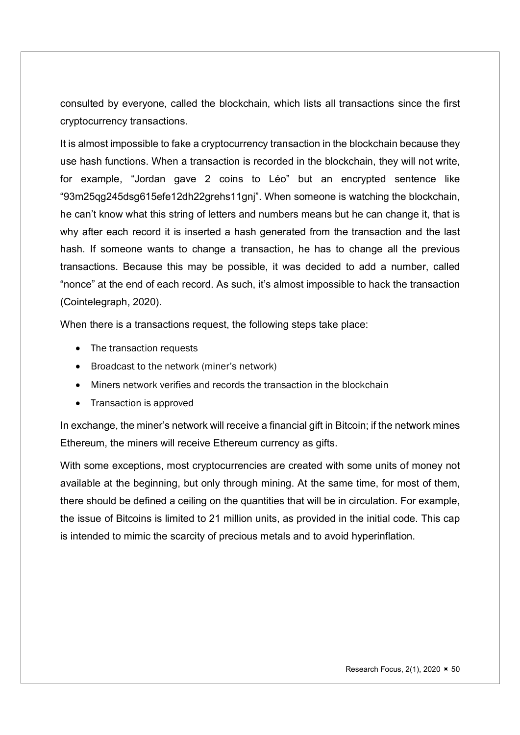consulted by everyone, called the blockchain, which lists all transactions since the first cryptocurrency transactions.

It is almost impossible to fake a cryptocurrency transaction in the blockchain because they use hash functions. When a transaction is recorded in the blockchain, they will not write, for example, "Jordan gave 2 coins to Léo" but an encrypted sentence like "93m25qg245dsg615efe12dh22grehs11gnj". When someone is watching the blockchain, he can't know what this string of letters and numbers means but he can change it, that is why after each record it is inserted a hash generated from the transaction and the last hash. If someone wants to change a transaction, he has to change all the previous transactions. Because this may be possible, it was decided to add a number, called "nonce" at the end of each record. As such, it's almost impossible to hack the transaction (Cointelegraph, 2020).

When there is a transactions request, the following steps take place:

- The transaction requests
- Broadcast to the network (miner's network)
- Miners network verifies and records the transaction in the blockchain
- Transaction is approved

In exchange, the miner's network will receive a financial gift in Bitcoin; if the network mines Ethereum, the miners will receive Ethereum currency as gifts.

With some exceptions, most cryptocurrencies are created with some units of money not available at the beginning, but only through mining. At the same time, for most of them, there should be defined a ceiling on the quantities that will be in circulation. For example, the issue of Bitcoins is limited to 21 million units, as provided in the initial code. This cap is intended to mimic the scarcity of precious metals and to avoid hyperinflation.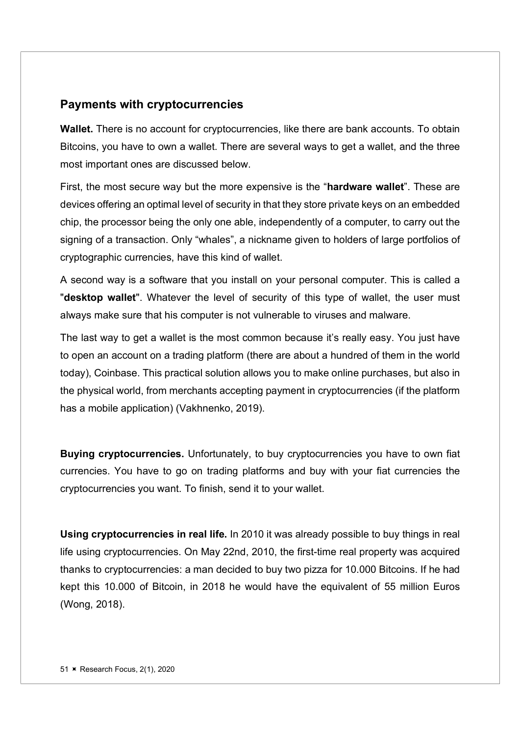## Payments with cryptocurrencies

Wallet. There is no account for cryptocurrencies, like there are bank accounts. To obtain Bitcoins, you have to own a wallet. There are several ways to get a wallet, and the three most important ones are discussed below.

First, the most secure way but the more expensive is the "hardware wallet". These are devices offering an optimal level of security in that they store private keys on an embedded chip, the processor being the only one able, independently of a computer, to carry out the signing of a transaction. Only "whales", a nickname given to holders of large portfolios of cryptographic currencies, have this kind of wallet.

A second way is a software that you install on your personal computer. This is called a "desktop wallet". Whatever the level of security of this type of wallet, the user must always make sure that his computer is not vulnerable to viruses and malware.

The last way to get a wallet is the most common because it's really easy. You just have to open an account on a trading platform (there are about a hundred of them in the world today), Coinbase. This practical solution allows you to make online purchases, but also in the physical world, from merchants accepting payment in cryptocurrencies (if the platform has a mobile application) (Vakhnenko, 2019).

Buying cryptocurrencies. Unfortunately, to buy cryptocurrencies you have to own fiat currencies. You have to go on trading platforms and buy with your fiat currencies the cryptocurrencies you want. To finish, send it to your wallet.

Using cryptocurrencies in real life. In 2010 it was already possible to buy things in real life using cryptocurrencies. On May 22nd, 2010, the first-time real property was acquired thanks to cryptocurrencies: a man decided to buy two pizza for 10.000 Bitcoins. If he had kept this 10.000 of Bitcoin, in 2018 he would have the equivalent of 55 million Euros (Wong, 2018).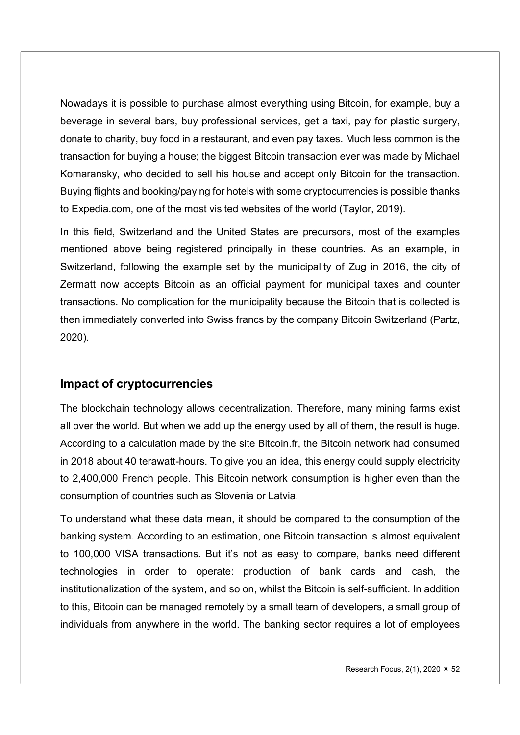Nowadays it is possible to purchase almost everything using Bitcoin, for example, buy a beverage in several bars, buy professional services, get a taxi, pay for plastic surgery, donate to charity, buy food in a restaurant, and even pay taxes. Much less common is the transaction for buying a house; the biggest Bitcoin transaction ever was made by Michael Komaransky, who decided to sell his house and accept only Bitcoin for the transaction. Buying flights and booking/paying for hotels with some cryptocurrencies is possible thanks to Expedia.com, one of the most visited websites of the world (Taylor, 2019).

In this field, Switzerland and the United States are precursors, most of the examples mentioned above being registered principally in these countries. As an example, in Switzerland, following the example set by the municipality of Zug in 2016, the city of Zermatt now accepts Bitcoin as an official payment for municipal taxes and counter transactions. No complication for the municipality because the Bitcoin that is collected is then immediately converted into Swiss francs by the company Bitcoin Switzerland (Partz, 2020).

## Impact of cryptocurrencies

The blockchain technology allows decentralization. Therefore, many mining farms exist all over the world. But when we add up the energy used by all of them, the result is huge. According to a calculation made by the site Bitcoin.fr, the Bitcoin network had consumed in 2018 about 40 terawatt-hours. To give you an idea, this energy could supply electricity to 2,400,000 French people. This Bitcoin network consumption is higher even than the consumption of countries such as Slovenia or Latvia.

To understand what these data mean, it should be compared to the consumption of the banking system. According to an estimation, one Bitcoin transaction is almost equivalent to 100,000 VISA transactions. But it's not as easy to compare, banks need different technologies in order to operate: production of bank cards and cash, the institutionalization of the system, and so on, whilst the Bitcoin is self-sufficient. In addition to this, Bitcoin can be managed remotely by a small team of developers, a small group of individuals from anywhere in the world. The banking sector requires a lot of employees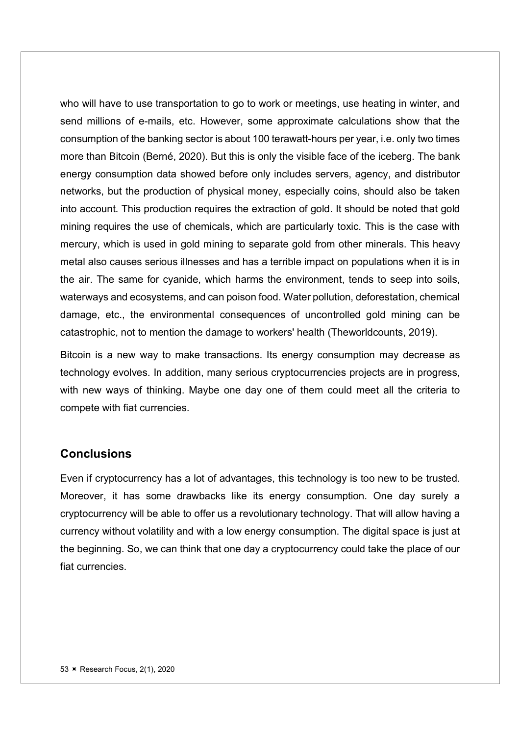who will have to use transportation to go to work or meetings, use heating in winter, and send millions of e-mails, etc. However, some approximate calculations show that the consumption of the banking sector is about 100 terawatt-hours per year, i.e. only two times more than Bitcoin (Berné, 2020). But this is only the visible face of the iceberg. The bank energy consumption data showed before only includes servers, agency, and distributor networks, but the production of physical money, especially coins, should also be taken into account. This production requires the extraction of gold. It should be noted that gold mining requires the use of chemicals, which are particularly toxic. This is the case with mercury, which is used in gold mining to separate gold from other minerals. This heavy metal also causes serious illnesses and has a terrible impact on populations when it is in the air. The same for cyanide, which harms the environment, tends to seep into soils, waterways and ecosystems, and can poison food. Water pollution, deforestation, chemical damage, etc., the environmental consequences of uncontrolled gold mining can be catastrophic, not to mention the damage to workers' health (Theworldcounts, 2019).

Bitcoin is a new way to make transactions. Its energy consumption may decrease as technology evolves. In addition, many serious cryptocurrencies projects are in progress, with new ways of thinking. Maybe one day one of them could meet all the criteria to compete with fiat currencies.

#### **Conclusions**

Even if cryptocurrency has a lot of advantages, this technology is too new to be trusted. Moreover, it has some drawbacks like its energy consumption. One day surely a cryptocurrency will be able to offer us a revolutionary technology. That will allow having a currency without volatility and with a low energy consumption. The digital space is just at the beginning. So, we can think that one day a cryptocurrency could take the place of our fiat currencies.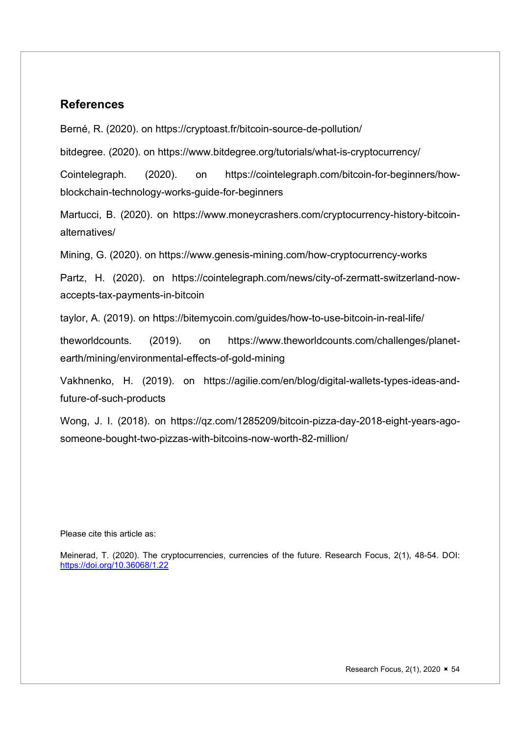#### References

Berné, R. (2020). on https://cryptoast.fr/bitcoin-source-de-pollution/

bitdegree. (2020). on https://www.bitdegree.org/tutorials/what-is-cryptocurrency/

Cointelegraph. (2020). on https://cointelegraph.com/bitcoin-for-beginners/howblockchain-technology-works-guide-for-beginners

Martucci, B. (2020). on https://www.moneycrashers.com/cryptocurrency-history-bitcoinalternatives/

Mining, G. (2020). on https://www.genesis-mining.com/how-cryptocurrency-works

Partz, H. (2020). on https://cointelegraph.com/news/city-of-zermatt-switzerland-nowaccepts-tax-payments-in-bitcoin

taylor, A. (2019). on https://bitemycoin.com/guides/how-to-use-bitcoin-in-real-life/

theworldcounts. (2019). on https://www.theworldcounts.com/challenges/planetearth/mining/environmental-effects-of-gold-mining

Vakhnenko, H. (2019). on https://agilie.com/en/blog/digital-wallets-types-ideas-andfuture-of-such-products

Wong, J. I. (2018). on https://qz.com/1285209/bitcoin-pizza-day-2018-eight-years-agosomeone-bought-two-pizzas-with-bitcoins-now-worth-82-million/

#### Please cite this article as:

Meinerad, T. (2020). The cryptocurrencies, currencies of the future. Research Focus, 2(1), 48-54. DOI: https://doi.org/10.36068/1.22

Research Focus, 2(1), 2020  $\times$  54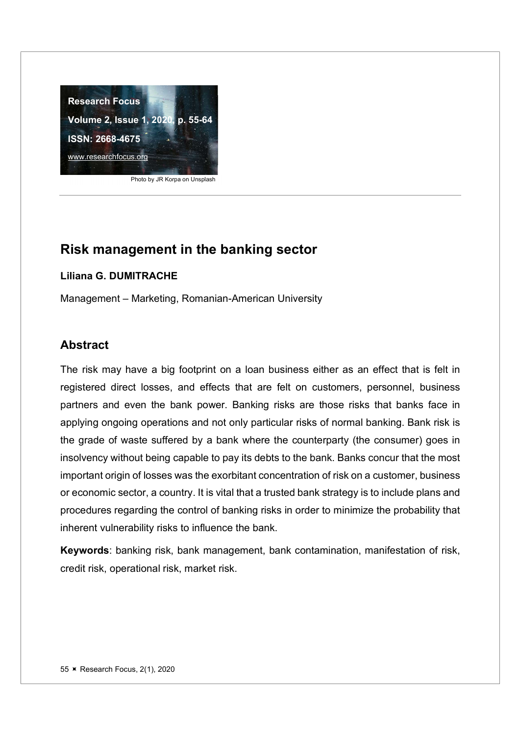

Photo by JR Korpa on Unsplash

#### Liliana G. DUMITRACHE

Management – Marketing, Romanian-American University

## Abstract

The risk may have a big footprint on a loan business either as an effect that is felt in registered direct losses, and effects that are felt on customers, personnel, business partners and even the bank power. Banking risks are those risks that banks face in applying ongoing operations and not only particular risks of normal banking. Bank risk is the grade of waste suffered by a bank where the counterparty (the consumer) goes in insolvency without being capable to pay its debts to the bank. Banks concur that the most important origin of losses was the exorbitant concentration of risk on a customer, business or economic sector, a country. It is vital that a trusted bank strategy is to include plans and procedures regarding the control of banking risks in order to minimize the probability that inherent vulnerability risks to influence the bank.

Keywords: banking risk, bank management, bank contamination, manifestation of risk, credit risk, operational risk, market risk.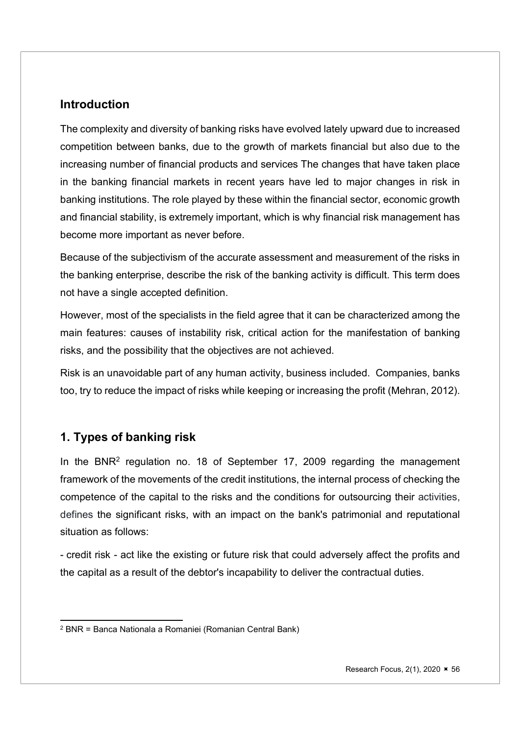## Introduction

The complexity and diversity of banking risks have evolved lately upward due to increased competition between banks, due to the growth of markets financial but also due to the increasing number of financial products and services The changes that have taken place in the banking financial markets in recent years have led to major changes in risk in banking institutions. The role played by these within the financial sector, economic growth and financial stability, is extremely important, which is why financial risk management has become more important as never before.

Because of the subjectivism of the accurate assessment and measurement of the risks in the banking enterprise, describe the risk of the banking activity is difficult. This term does not have a single accepted definition.

However, most of the specialists in the field agree that it can be characterized among the main features: causes of instability risk, critical action for the manifestation of banking risks, and the possibility that the objectives are not achieved.

Risk is an unavoidable part of any human activity, business included. Companies, banks too, try to reduce the impact of risks while keeping or increasing the profit (Mehran, 2012).

## 1. Types of banking risk

In the BNR<sup>2</sup> regulation no. 18 of September 17, 2009 regarding the management framework of the movements of the credit institutions, the internal process of checking the competence of the capital to the risks and the conditions for outsourcing their activities, defines the significant risks, with an impact on the bank's patrimonial and reputational situation as follows:

- credit risk - act like the existing or future risk that could adversely affect the profits and the capital as a result of the debtor's incapability to deliver the contractual duties.

<sup>2</sup> BNR = Banca Nationala a Romaniei (Romanian Central Bank)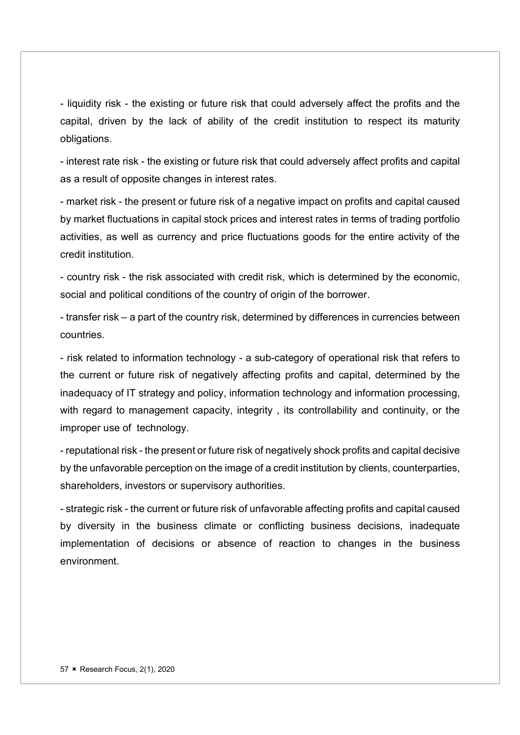- liquidity risk - the existing or future risk that could adversely affect the profits and the capital, driven by the lack of ability of the credit institution to respect its maturity obligations.

- interest rate risk - the existing or future risk that could adversely affect profits and capital as a result of opposite changes in interest rates.

- market risk - the present or future risk of a negative impact on profits and capital caused by market fluctuations in capital stock prices and interest rates in terms of trading portfolio activities, as well as currency and price fluctuations goods for the entire activity of the credit institution.

- country risk - the risk associated with credit risk, which is determined by the economic, social and political conditions of the country of origin of the borrower.

- transfer risk – a part of the country risk, determined by differences in currencies between countries.

- risk related to information technology - a sub-category of operational risk that refers to the current or future risk of negatively affecting profits and capital, determined by the inadequacy of IT strategy and policy, information technology and information processing, with regard to management capacity, integrity , its controllability and continuity, or the improper use of technology.

- reputational risk - the present or future risk of negatively shock profits and capital decisive by the unfavorable perception on the image of a credit institution by clients, counterparties, shareholders, investors or supervisory authorities.

- strategic risk - the current or future risk of unfavorable affecting profits and capital caused by diversity in the business climate or conflicting business decisions, inadequate implementation of decisions or absence of reaction to changes in the business environment.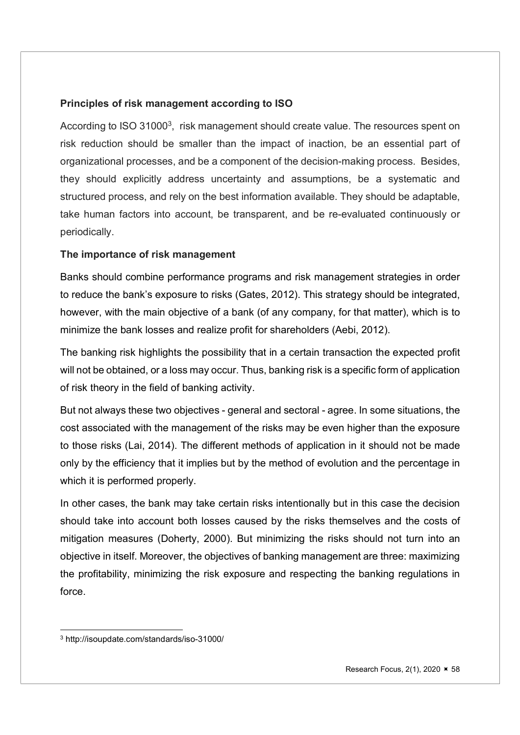#### Principles of risk management according to ISO

According to ISO 31000<sup>3</sup>, risk management should create value. The resources spent on risk reduction should be smaller than the impact of inaction, be an essential part of organizational processes, and be a component of the decision-making process. Besides, they should explicitly address uncertainty and assumptions, be a systematic and structured process, and rely on the best information available. They should be adaptable, take human factors into account, be transparent, and be re-evaluated continuously or periodically.

#### The importance of risk management

Banks should combine performance programs and risk management strategies in order to reduce the bank's exposure to risks (Gates, 2012). This strategy should be integrated, however, with the main objective of a bank (of any company, for that matter), which is to minimize the bank losses and realize profit for shareholders (Aebi, 2012).

The banking risk highlights the possibility that in a certain transaction the expected profit will not be obtained, or a loss may occur. Thus, banking risk is a specific form of application of risk theory in the field of banking activity.

But not always these two objectives - general and sectoral - agree. In some situations, the cost associated with the management of the risks may be even higher than the exposure to those risks (Lai, 2014). The different methods of application in it should not be made only by the efficiency that it implies but by the method of evolution and the percentage in which it is performed properly.

In other cases, the bank may take certain risks intentionally but in this case the decision should take into account both losses caused by the risks themselves and the costs of mitigation measures (Doherty, 2000). But minimizing the risks should not turn into an objective in itself. Moreover, the objectives of banking management are three: maximizing the profitability, minimizing the risk exposure and respecting the banking regulations in force.

<sup>3</sup> http://isoupdate.com/standards/iso-31000/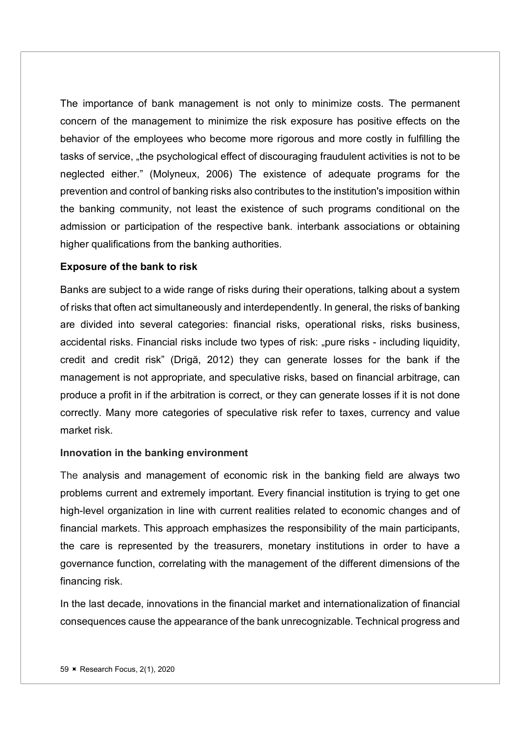The importance of bank management is not only to minimize costs. The permanent concern of the management to minimize the risk exposure has positive effects on the behavior of the employees who become more rigorous and more costly in fulfilling the tasks of service, "the psychological effect of discouraging fraudulent activities is not to be neglected either." (Molyneux, 2006) The existence of adequate programs for the prevention and control of banking risks also contributes to the institution's imposition within the banking community, not least the existence of such programs conditional on the admission or participation of the respective bank. interbank associations or obtaining higher qualifications from the banking authorities.

#### Exposure of the bank to risk

Banks are subject to a wide range of risks during their operations, talking about a system of risks that often act simultaneously and interdependently. In general, the risks of banking are divided into several categories: financial risks, operational risks, risks business, accidental risks. Financial risks include two types of risk: "pure risks - including liquidity, credit and credit risk" (Drigă, 2012) they can generate losses for the bank if the management is not appropriate, and speculative risks, based on financial arbitrage, can produce a profit in if the arbitration is correct, or they can generate losses if it is not done correctly. Many more categories of speculative risk refer to taxes, currency and value market risk.

#### Innovation in the banking environment

The analysis and management of economic risk in the banking field are always two problems current and extremely important. Every financial institution is trying to get one high-level organization in line with current realities related to economic changes and of financial markets. This approach emphasizes the responsibility of the main participants, the care is represented by the treasurers, monetary institutions in order to have a governance function, correlating with the management of the different dimensions of the financing risk.

In the last decade, innovations in the financial market and internationalization of financial consequences cause the appearance of the bank unrecognizable. Technical progress and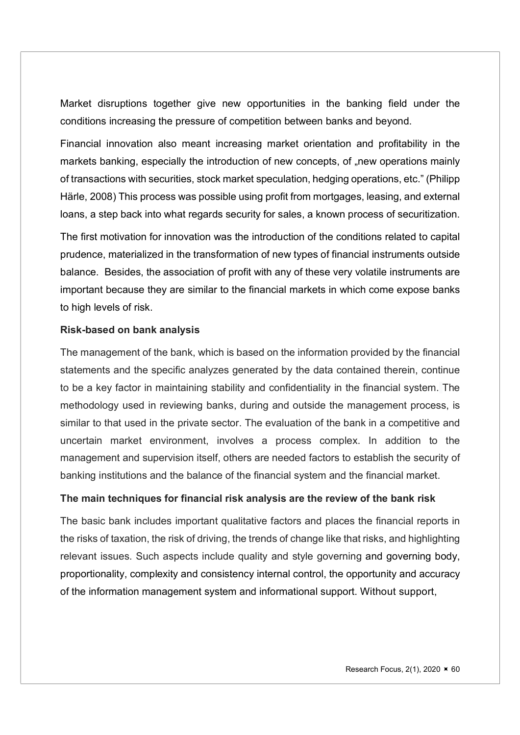Market disruptions together give new opportunities in the banking field under the conditions increasing the pressure of competition between banks and beyond.

Financial innovation also meant increasing market orientation and profitability in the markets banking, especially the introduction of new concepts, of "new operations mainly of transactions with securities, stock market speculation, hedging operations, etc." (Philipp Härle, 2008) This process was possible using profit from mortgages, leasing, and external loans, a step back into what regards security for sales, a known process of securitization.

The first motivation for innovation was the introduction of the conditions related to capital prudence, materialized in the transformation of new types of financial instruments outside balance. Besides, the association of profit with any of these very volatile instruments are important because they are similar to the financial markets in which come expose banks to high levels of risk.

#### Risk-based on bank analysis

The management of the bank, which is based on the information provided by the financial statements and the specific analyzes generated by the data contained therein, continue to be a key factor in maintaining stability and confidentiality in the financial system. The methodology used in reviewing banks, during and outside the management process, is similar to that used in the private sector. The evaluation of the bank in a competitive and uncertain market environment, involves a process complex. In addition to the management and supervision itself, others are needed factors to establish the security of banking institutions and the balance of the financial system and the financial market.

#### The main techniques for financial risk analysis are the review of the bank risk

The basic bank includes important qualitative factors and places the financial reports in the risks of taxation, the risk of driving, the trends of change like that risks, and highlighting relevant issues. Such aspects include quality and style governing and governing body, proportionality, complexity and consistency internal control, the opportunity and accuracy of the information management system and informational support. Without support,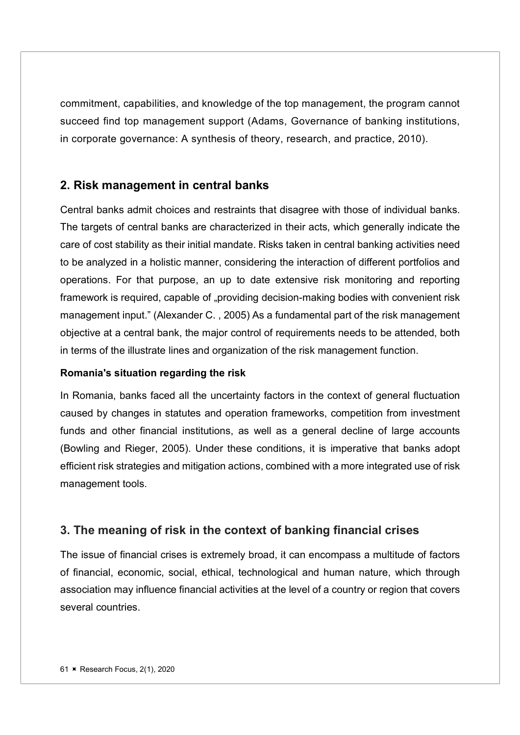commitment, capabilities, and knowledge of the top management, the program cannot succeed find top management support (Adams, Governance of banking institutions, in corporate governance: A synthesis of theory, research, and practice, 2010).

## 2. Risk management in central banks

Central banks admit choices and restraints that disagree with those of individual banks. The targets of central banks are characterized in their acts, which generally indicate the care of cost stability as their initial mandate. Risks taken in central banking activities need to be analyzed in a holistic manner, considering the interaction of different portfolios and operations. For that purpose, an up to date extensive risk monitoring and reporting framework is required, capable of "providing decision-making bodies with convenient risk management input." (Alexander C. , 2005) As a fundamental part of the risk management objective at a central bank, the major control of requirements needs to be attended, both in terms of the illustrate lines and organization of the risk management function.

#### Romania's situation regarding the risk

In Romania, banks faced all the uncertainty factors in the context of general fluctuation caused by changes in statutes and operation frameworks, competition from investment funds and other financial institutions, as well as a general decline of large accounts (Bowling and Rieger, 2005). Under these conditions, it is imperative that banks adopt efficient risk strategies and mitigation actions, combined with a more integrated use of risk management tools.

## 3. The meaning of risk in the context of banking financial crises

The issue of financial crises is extremely broad, it can encompass a multitude of factors of financial, economic, social, ethical, technological and human nature, which through association may influence financial activities at the level of a country or region that covers several countries.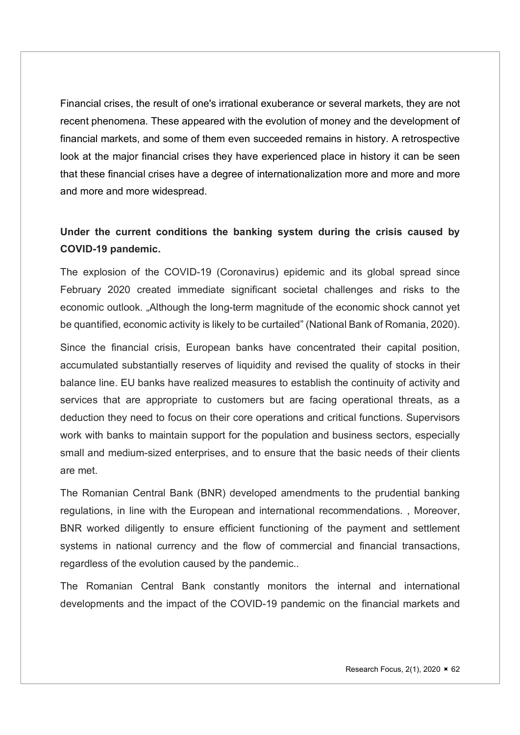Financial crises, the result of one's irrational exuberance or several markets, they are not recent phenomena. These appeared with the evolution of money and the development of financial markets, and some of them even succeeded remains in history. A retrospective look at the major financial crises they have experienced place in history it can be seen that these financial crises have a degree of internationalization more and more and more and more and more widespread.

## Under the current conditions the banking system during the crisis caused by COVID-19 pandemic.

The explosion of the COVID-19 (Coronavirus) epidemic and its global spread since February 2020 created immediate significant societal challenges and risks to the economic outlook. "Although the long-term magnitude of the economic shock cannot yet be quantified, economic activity is likely to be curtailed" (National Bank of Romania, 2020).

Since the financial crisis, European banks have concentrated their capital position, accumulated substantially reserves of liquidity and revised the quality of stocks in their balance line. EU banks have realized measures to establish the continuity of activity and services that are appropriate to customers but are facing operational threats, as a deduction they need to focus on their core operations and critical functions. Supervisors work with banks to maintain support for the population and business sectors, especially small and medium-sized enterprises, and to ensure that the basic needs of their clients are met.

The Romanian Central Bank (BNR) developed amendments to the prudential banking regulations, in line with the European and international recommendations. , Moreover, BNR worked diligently to ensure efficient functioning of the payment and settlement systems in national currency and the flow of commercial and financial transactions, regardless of the evolution caused by the pandemic..

The Romanian Central Bank constantly monitors the internal and international developments and the impact of the COVID-19 pandemic on the financial markets and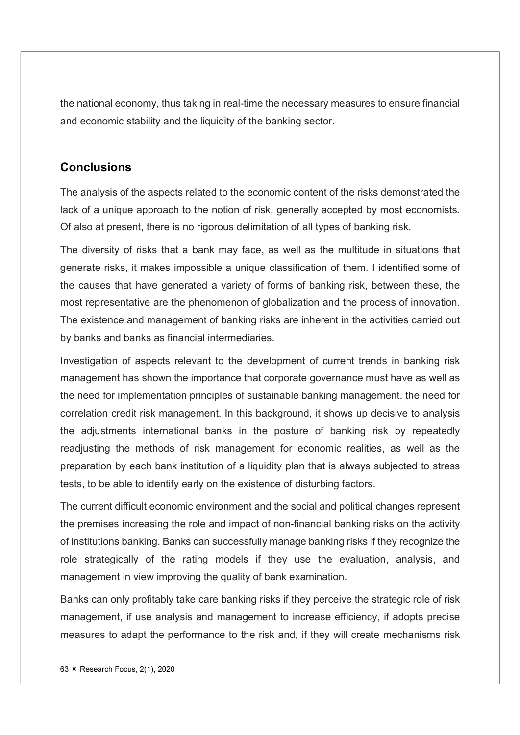the national economy, thus taking in real-time the necessary measures to ensure financial and economic stability and the liquidity of the banking sector.

## **Conclusions**

The analysis of the aspects related to the economic content of the risks demonstrated the lack of a unique approach to the notion of risk, generally accepted by most economists. Of also at present, there is no rigorous delimitation of all types of banking risk.

The diversity of risks that a bank may face, as well as the multitude in situations that generate risks, it makes impossible a unique classification of them. I identified some of the causes that have generated a variety of forms of banking risk, between these, the most representative are the phenomenon of globalization and the process of innovation. The existence and management of banking risks are inherent in the activities carried out by banks and banks as financial intermediaries.

Investigation of aspects relevant to the development of current trends in banking risk management has shown the importance that corporate governance must have as well as the need for implementation principles of sustainable banking management. the need for correlation credit risk management. In this background, it shows up decisive to analysis the adjustments international banks in the posture of banking risk by repeatedly readjusting the methods of risk management for economic realities, as well as the preparation by each bank institution of a liquidity plan that is always subjected to stress tests, to be able to identify early on the existence of disturbing factors.

The current difficult economic environment and the social and political changes represent the premises increasing the role and impact of non-financial banking risks on the activity of institutions banking. Banks can successfully manage banking risks if they recognize the role strategically of the rating models if they use the evaluation, analysis, and management in view improving the quality of bank examination.

Banks can only profitably take care banking risks if they perceive the strategic role of risk management, if use analysis and management to increase efficiency, if adopts precise measures to adapt the performance to the risk and, if they will create mechanisms risk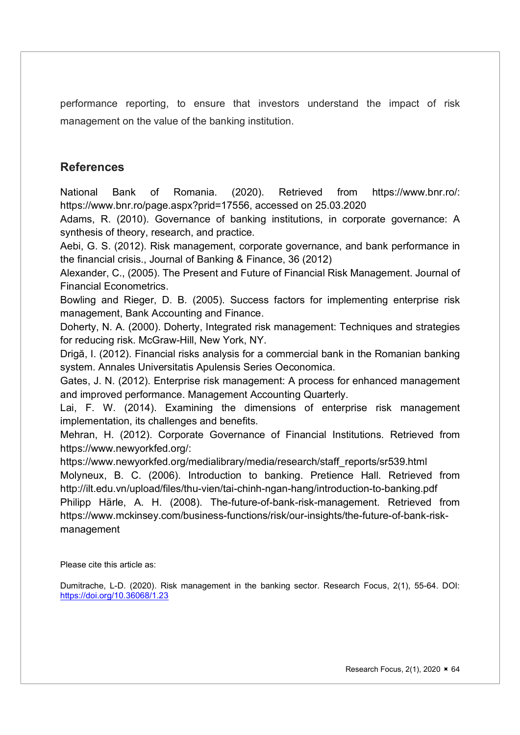performance reporting, to ensure that investors understand the impact of risk management on the value of the banking institution.

## **References**

National Bank of Romania. (2020). Retrieved from https://www.bnr.ro/: https://www.bnr.ro/page.aspx?prid=17556, accessed on 25.03.2020

Adams, R. (2010). Governance of banking institutions, in corporate governance: A synthesis of theory, research, and practice.

Aebi, G. S. (2012). Risk management, corporate governance, and bank performance in the financial crisis., Journal of Banking & Finance, 36 (2012)

Alexander, C., (2005). The Present and Future of Financial Risk Management. Journal of Financial Econometrics.

Bowling and Rieger, D. B. (2005). Success factors for implementing enterprise risk management, Bank Accounting and Finance.

Doherty, N. A. (2000). Doherty, Integrated risk management: Techniques and strategies for reducing risk. McGraw-Hill, New York, NY.

Drigă, I. (2012). Financial risks analysis for a commercial bank in the Romanian banking system. Annales Universitatis Apulensis Series Oeconomica.

Gates, J. N. (2012). Enterprise risk management: A process for enhanced management and improved performance. Management Accounting Quarterly.

Lai, F. W. (2014). Examining the dimensions of enterprise risk management implementation, its challenges and benefits.

Mehran, H. (2012). Corporate Governance of Financial Institutions. Retrieved from https://www.newyorkfed.org/:

https://www.newyorkfed.org/medialibrary/media/research/staff\_reports/sr539.html Molyneux, B. C. (2006). Introduction to banking. Pretience Hall. Retrieved from http://ilt.edu.vn/upload/files/thu-vien/tai-chinh-ngan-hang/introduction-to-banking.pdf Philipp Härle, A. H. (2008). The-future-of-bank-risk-management. Retrieved from https://www.mckinsey.com/business-functions/risk/our-insights/the-future-of-bank-riskmanagement

Please cite this article as:

Dumitrache, L-D. (2020). Risk management in the banking sector. Research Focus, 2(1), 55-64. DOI: https://doi.org/10.36068/1.23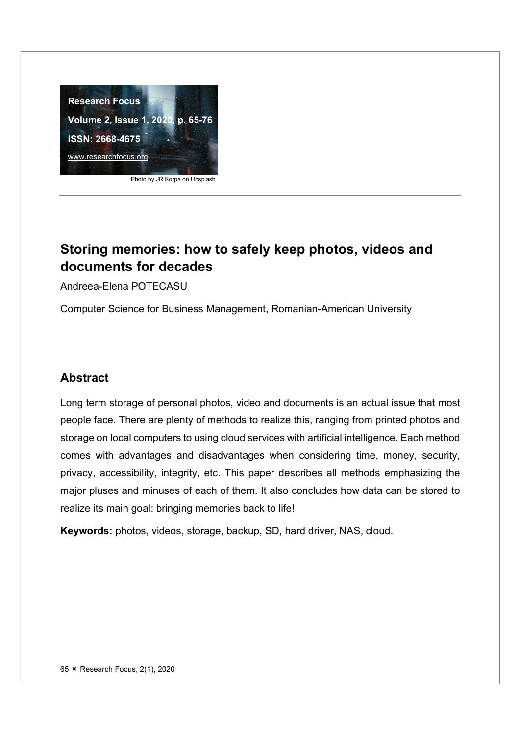

Photo by JR Korpa on Unsplash

# Storing memories: how to safely keep photos, videos and documents for decades

Andreea-Elena POTECASU

Computer Science for Business Management, Romanian-American University

## Abstract

Long term storage of personal photos, video and documents is an actual issue that most people face. There are plenty of methods to realize this, ranging from printed photos and storage on local computers to using cloud services with artificial intelligence. Each method comes with advantages and disadvantages when considering time, money, security, privacy, accessibility, integrity, etc. This paper describes all methods emphasizing the major pluses and minuses of each of them. It also concludes how data can be stored to realize its main goal: bringing memories back to life!

Keywords: photos, videos, storage, backup, SD, hard driver, NAS, cloud.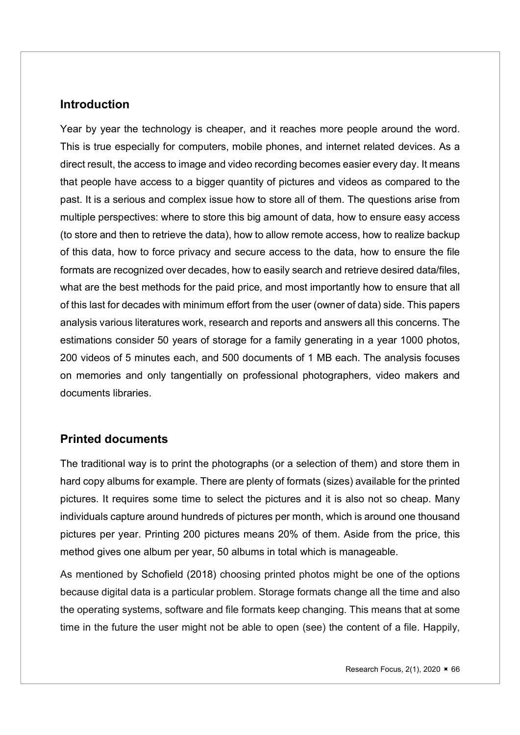#### Introduction

Year by year the technology is cheaper, and it reaches more people around the word. This is true especially for computers, mobile phones, and internet related devices. As a direct result, the access to image and video recording becomes easier every day. It means that people have access to a bigger quantity of pictures and videos as compared to the past. It is a serious and complex issue how to store all of them. The questions arise from multiple perspectives: where to store this big amount of data, how to ensure easy access (to store and then to retrieve the data), how to allow remote access, how to realize backup of this data, how to force privacy and secure access to the data, how to ensure the file formats are recognized over decades, how to easily search and retrieve desired data/files, what are the best methods for the paid price, and most importantly how to ensure that all of this last for decades with minimum effort from the user (owner of data) side. This papers analysis various literatures work, research and reports and answers all this concerns. The estimations consider 50 years of storage for a family generating in a year 1000 photos, 200 videos of 5 minutes each, and 500 documents of 1 MB each. The analysis focuses on memories and only tangentially on professional photographers, video makers and documents libraries.

## Printed documents

The traditional way is to print the photographs (or a selection of them) and store them in hard copy albums for example. There are plenty of formats (sizes) available for the printed pictures. It requires some time to select the pictures and it is also not so cheap. Many individuals capture around hundreds of pictures per month, which is around one thousand pictures per year. Printing 200 pictures means 20% of them. Aside from the price, this method gives one album per year, 50 albums in total which is manageable.

As mentioned by Schofield (2018) choosing printed photos might be one of the options because digital data is a particular problem. Storage formats change all the time and also the operating systems, software and file formats keep changing. This means that at some time in the future the user might not be able to open (see) the content of a file. Happily,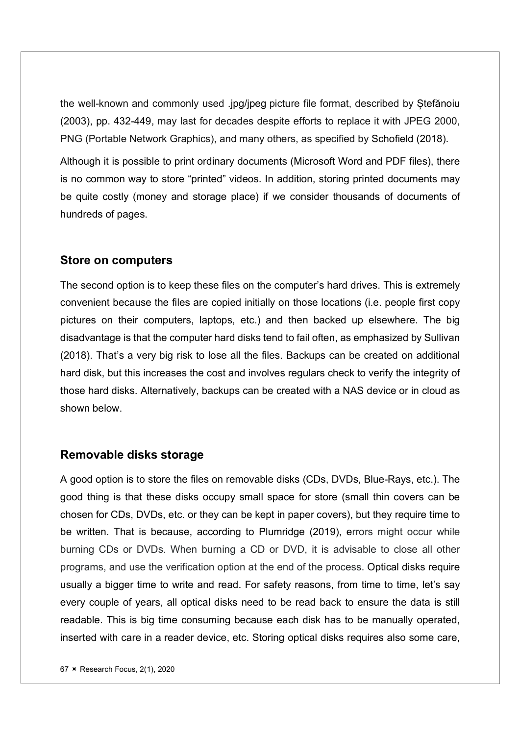the well-known and commonly used .jpg/jpeg picture file format, described by Ștefănoiu (2003), pp. 432-449, may last for decades despite efforts to replace it with JPEG 2000, PNG (Portable Network Graphics), and many others, as specified by Schofield (2018).

Although it is possible to print ordinary documents (Microsoft Word and PDF files), there is no common way to store "printed" videos. In addition, storing printed documents may be quite costly (money and storage place) if we consider thousands of documents of hundreds of pages.

#### Store on computers

The second option is to keep these files on the computer's hard drives. This is extremely convenient because the files are copied initially on those locations (i.e. people first copy pictures on their computers, laptops, etc.) and then backed up elsewhere. The big disadvantage is that the computer hard disks tend to fail often, as emphasized by Sullivan (2018). That's a very big risk to lose all the files. Backups can be created on additional hard disk, but this increases the cost and involves regulars check to verify the integrity of those hard disks. Alternatively, backups can be created with a NAS device or in cloud as shown below.

#### Removable disks storage

A good option is to store the files on removable disks (CDs, DVDs, Blue-Rays, etc.). The good thing is that these disks occupy small space for store (small thin covers can be chosen for CDs, DVDs, etc. or they can be kept in paper covers), but they require time to be written. That is because, according to Plumridge (2019), errors might occur while burning CDs or DVDs. When burning a CD or DVD, it is advisable to close all other programs, and use the verification option at the end of the process. Optical disks require usually a bigger time to write and read. For safety reasons, from time to time, let's say every couple of years, all optical disks need to be read back to ensure the data is still readable. This is big time consuming because each disk has to be manually operated, inserted with care in a reader device, etc. Storing optical disks requires also some care,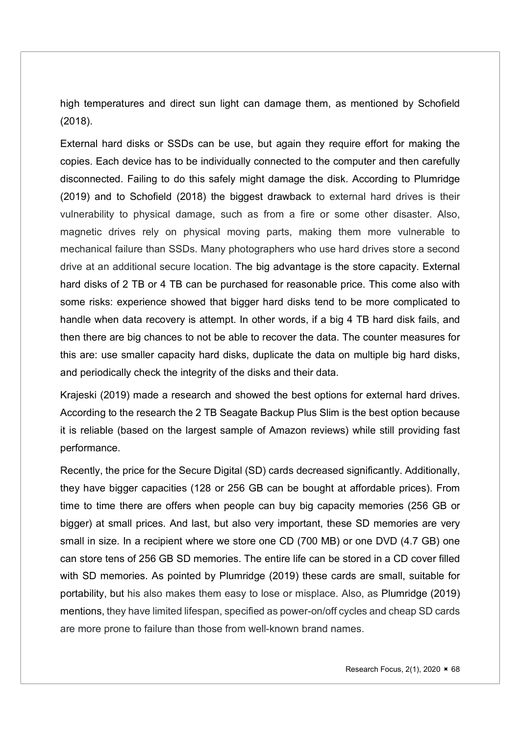high temperatures and direct sun light can damage them, as mentioned by Schofield (2018).

External hard disks or SSDs can be use, but again they require effort for making the copies. Each device has to be individually connected to the computer and then carefully disconnected. Failing to do this safely might damage the disk. According to Plumridge (2019) and to Schofield (2018) the biggest drawback to external hard drives is their vulnerability to physical damage, such as from a fire or some other disaster. Also, magnetic drives rely on physical moving parts, making them more vulnerable to mechanical failure than SSDs. Many photographers who use hard drives store a second drive at an additional secure location. The big advantage is the store capacity. External hard disks of 2 TB or 4 TB can be purchased for reasonable price. This come also with some risks: experience showed that bigger hard disks tend to be more complicated to handle when data recovery is attempt. In other words, if a big 4 TB hard disk fails, and then there are big chances to not be able to recover the data. The counter measures for this are: use smaller capacity hard disks, duplicate the data on multiple big hard disks, and periodically check the integrity of the disks and their data.

Krajeski (2019) made a research and showed the best options for external hard drives. According to the research the 2 TB Seagate Backup Plus Slim is the best option because it is reliable (based on the largest sample of Amazon reviews) while still providing fast performance.

Recently, the price for the Secure Digital (SD) cards decreased significantly. Additionally, they have bigger capacities (128 or 256 GB can be bought at affordable prices). From time to time there are offers when people can buy big capacity memories (256 GB or bigger) at small prices. And last, but also very important, these SD memories are very small in size. In a recipient where we store one CD (700 MB) or one DVD (4.7 GB) one can store tens of 256 GB SD memories. The entire life can be stored in a CD cover filled with SD memories. As pointed by Plumridge (2019) these cards are small, suitable for portability, but his also makes them easy to lose or misplace. Also, as Plumridge (2019) mentions, they have limited lifespan, specified as power-on/off cycles and cheap SD cards are more prone to failure than those from well-known brand names.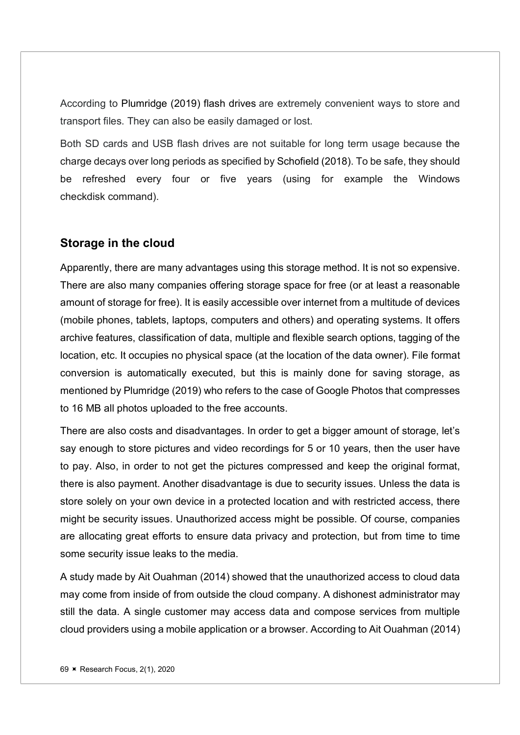According to Plumridge (2019) flash drives are extremely convenient ways to store and transport files. They can also be easily damaged or lost.

Both SD cards and USB flash drives are not suitable for long term usage because the charge decays over long periods as specified by Schofield (2018). To be safe, they should be refreshed every four or five years (using for example the Windows checkdisk command).

### Storage in the cloud

Apparently, there are many advantages using this storage method. It is not so expensive. There are also many companies offering storage space for free (or at least a reasonable amount of storage for free). It is easily accessible over internet from a multitude of devices (mobile phones, tablets, laptops, computers and others) and operating systems. It offers archive features, classification of data, multiple and flexible search options, tagging of the location, etc. It occupies no physical space (at the location of the data owner). File format conversion is automatically executed, but this is mainly done for saving storage, as mentioned by Plumridge (2019) who refers to the case of Google Photos that compresses to 16 MB all photos uploaded to the free accounts.

There are also costs and disadvantages. In order to get a bigger amount of storage, let's say enough to store pictures and video recordings for 5 or 10 years, then the user have to pay. Also, in order to not get the pictures compressed and keep the original format, there is also payment. Another disadvantage is due to security issues. Unless the data is store solely on your own device in a protected location and with restricted access, there might be security issues. Unauthorized access might be possible. Of course, companies are allocating great efforts to ensure data privacy and protection, but from time to time some security issue leaks to the media.

A study made by Ait Ouahman (2014) showed that the unauthorized access to cloud data may come from inside of from outside the cloud company. A dishonest administrator may still the data. A single customer may access data and compose services from multiple cloud providers using a mobile application or a browser. According to Ait Ouahman (2014)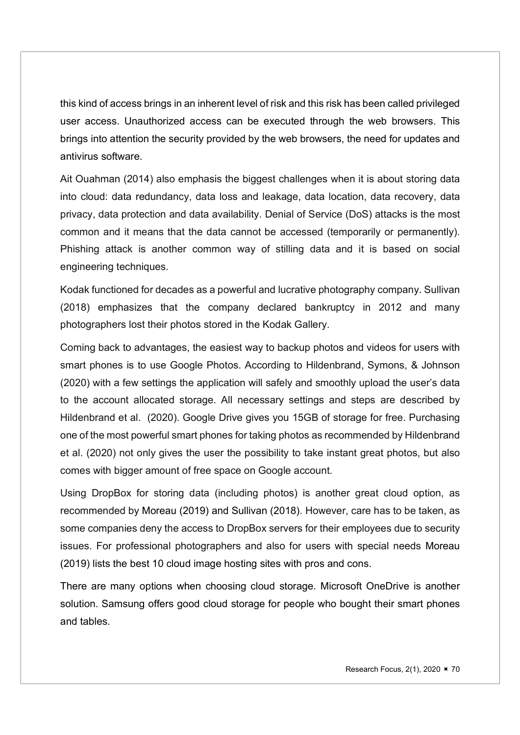this kind of access brings in an inherent level of risk and this risk has been called privileged user access. Unauthorized access can be executed through the web browsers. This brings into attention the security provided by the web browsers, the need for updates and antivirus software.

Ait Ouahman (2014) also emphasis the biggest challenges when it is about storing data into cloud: data redundancy, data loss and leakage, data location, data recovery, data privacy, data protection and data availability. Denial of Service (DoS) attacks is the most common and it means that the data cannot be accessed (temporarily or permanently). Phishing attack is another common way of stilling data and it is based on social engineering techniques.

Kodak functioned for decades as a powerful and lucrative photography company. Sullivan (2018) emphasizes that the company declared bankruptcy in 2012 and many photographers lost their photos stored in the Kodak Gallery.

Coming back to advantages, the easiest way to backup photos and videos for users with smart phones is to use Google Photos. According to Hildenbrand, Symons, & Johnson (2020) with a few settings the application will safely and smoothly upload the user's data to the account allocated storage. All necessary settings and steps are described by Hildenbrand et al. (2020). Google Drive gives you 15GB of storage for free. Purchasing one of the most powerful smart phones for taking photos as recommended by Hildenbrand et al. (2020) not only gives the user the possibility to take instant great photos, but also comes with bigger amount of free space on Google account.

Using DropBox for storing data (including photos) is another great cloud option, as recommended by Moreau (2019) and Sullivan (2018). However, care has to be taken, as some companies deny the access to DropBox servers for their employees due to security issues. For professional photographers and also for users with special needs Moreau (2019) lists the best 10 cloud image hosting sites with pros and cons.

There are many options when choosing cloud storage. Microsoft OneDrive is another solution. Samsung offers good cloud storage for people who bought their smart phones and tables.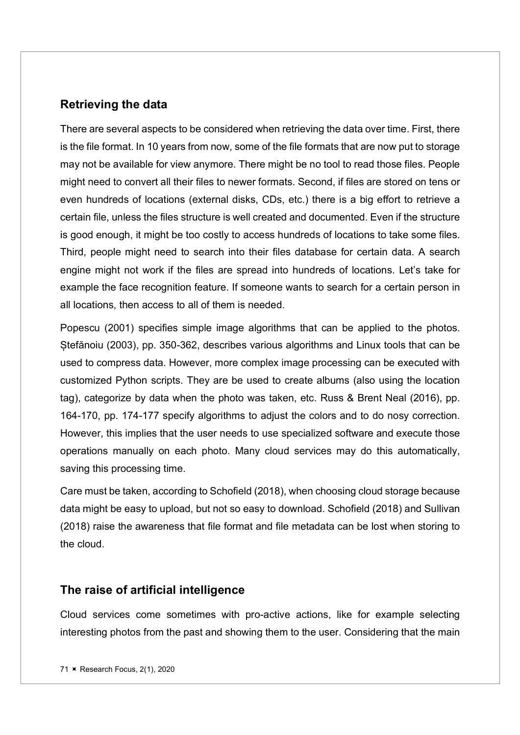## Retrieving the data

There are several aspects to be considered when retrieving the data over time. First, there is the file format. In 10 years from now, some of the file formats that are now put to storage may not be available for view anymore. There might be no tool to read those files. People might need to convert all their files to newer formats. Second, if files are stored on tens or even hundreds of locations (external disks, CDs, etc.) there is a big effort to retrieve a certain file, unless the files structure is well created and documented. Even if the structure is good enough, it might be too costly to access hundreds of locations to take some files. Third, people might need to search into their files database for certain data. A search engine might not work if the files are spread into hundreds of locations. Let's take for example the face recognition feature. If someone wants to search for a certain person in all locations, then access to all of them is needed.

Popescu (2001) specifies simple image algorithms that can be applied to the photos. Ștefănoiu (2003), pp. 350-362, describes various algorithms and Linux tools that can be used to compress data. However, more complex image processing can be executed with customized Python scripts. They are be used to create albums (also using the location tag), categorize by data when the photo was taken, etc. Russ & Brent Neal (2016), pp. 164-170, pp. 174-177 specify algorithms to adjust the colors and to do nosy correction. However, this implies that the user needs to use specialized software and execute those operations manually on each photo. Many cloud services may do this automatically, saving this processing time.

Care must be taken, according to Schofield (2018), when choosing cloud storage because data might be easy to upload, but not so easy to download. Schofield (2018) and Sullivan (2018) raise the awareness that file format and file metadata can be lost when storing to the cloud.

### The raise of artificial intelligence

Cloud services come sometimes with pro-active actions, like for example selecting interesting photos from the past and showing them to the user. Considering that the main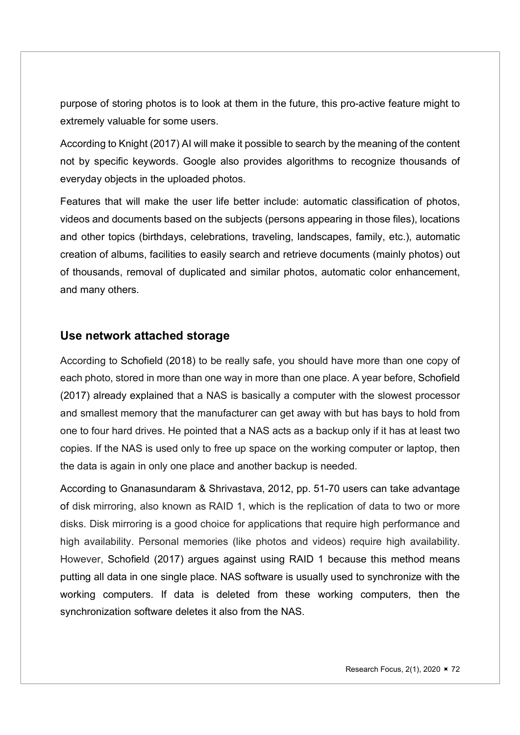purpose of storing photos is to look at them in the future, this pro-active feature might to extremely valuable for some users.

According to Knight (2017) AI will make it possible to search by the meaning of the content not by specific keywords. Google also provides algorithms to recognize thousands of everyday objects in the uploaded photos.

Features that will make the user life better include: automatic classification of photos, videos and documents based on the subjects (persons appearing in those files), locations and other topics (birthdays, celebrations, traveling, landscapes, family, etc.), automatic creation of albums, facilities to easily search and retrieve documents (mainly photos) out of thousands, removal of duplicated and similar photos, automatic color enhancement, and many others.

## Use network attached storage

According to Schofield (2018) to be really safe, you should have more than one copy of each photo, stored in more than one way in more than one place. A year before, Schofield (2017) already explained that a NAS is basically a computer with the slowest processor and smallest memory that the manufacturer can get away with but has bays to hold from one to four hard drives. He pointed that a NAS acts as a backup only if it has at least two copies. If the NAS is used only to free up space on the working computer or laptop, then the data is again in only one place and another backup is needed.

According to Gnanasundaram & Shrivastava, 2012, pp. 51-70 users can take advantage of disk mirroring, also known as RAID 1, which is the replication of data to two or more disks. Disk mirroring is a good choice for applications that require high performance and high availability. Personal memories (like photos and videos) require high availability. However, Schofield (2017) argues against using RAID 1 because this method means putting all data in one single place. NAS software is usually used to synchronize with the working computers. If data is deleted from these working computers, then the synchronization software deletes it also from the NAS.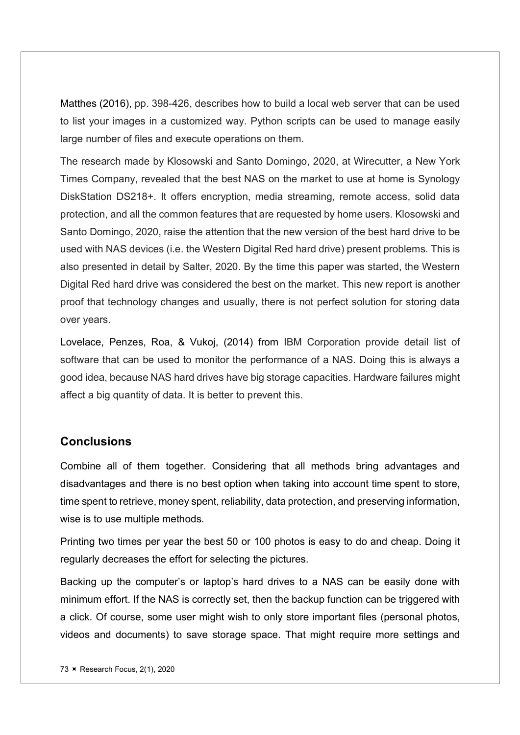Matthes (2016), pp. 398-426, describes how to build a local web server that can be used to list your images in a customized way. Python scripts can be used to manage easily large number of files and execute operations on them.

The research made by Klosowski and Santo Domingo, 2020, at Wirecutter, a New York Times Company, revealed that the best NAS on the market to use at home is Synology DiskStation DS218+. It offers encryption, media streaming, remote access, solid data protection, and all the common features that are requested by home users. Klosowski and Santo Domingo, 2020, raise the attention that the new version of the best hard drive to be used with NAS devices (i.e. the Western Digital Red hard drive) present problems. This is also presented in detail by Salter, 2020. By the time this paper was started, the Western Digital Red hard drive was considered the best on the market. This new report is another proof that technology changes and usually, there is not perfect solution for storing data over years.

Lovelace, Penzes, Roa, & Vukoj, (2014) from IBM Corporation provide detail list of software that can be used to monitor the performance of a NAS. Doing this is always a good idea, because NAS hard drives have big storage capacities. Hardware failures might affect a big quantity of data. It is better to prevent this.

## **Conclusions**

Combine all of them together. Considering that all methods bring advantages and disadvantages and there is no best option when taking into account time spent to store, time spent to retrieve, money spent, reliability, data protection, and preserving information, wise is to use multiple methods.

Printing two times per year the best 50 or 100 photos is easy to do and cheap. Doing it regularly decreases the effort for selecting the pictures.

Backing up the computer's or laptop's hard drives to a NAS can be easily done with minimum effort. If the NAS is correctly set, then the backup function can be triggered with a click. Of course, some user might wish to only store important files (personal photos, videos and documents) to save storage space. That might require more settings and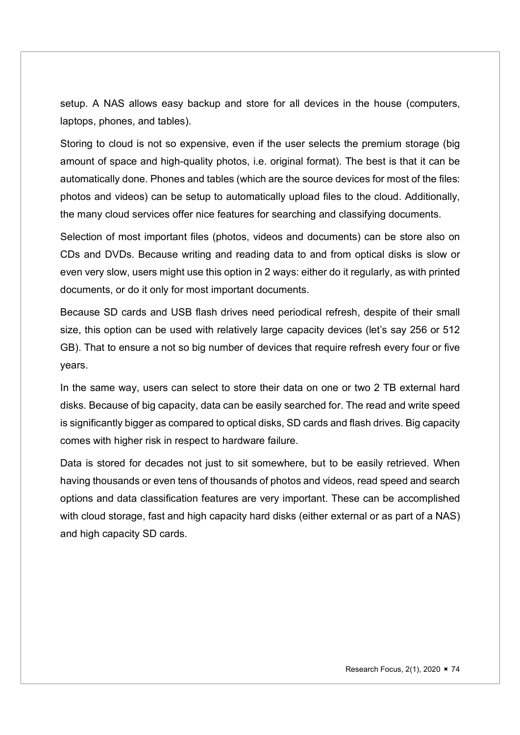setup. A NAS allows easy backup and store for all devices in the house (computers, laptops, phones, and tables).

Storing to cloud is not so expensive, even if the user selects the premium storage (big amount of space and high-quality photos, i.e. original format). The best is that it can be automatically done. Phones and tables (which are the source devices for most of the files: photos and videos) can be setup to automatically upload files to the cloud. Additionally, the many cloud services offer nice features for searching and classifying documents.

Selection of most important files (photos, videos and documents) can be store also on CDs and DVDs. Because writing and reading data to and from optical disks is slow or even very slow, users might use this option in 2 ways: either do it regularly, as with printed documents, or do it only for most important documents.

Because SD cards and USB flash drives need periodical refresh, despite of their small size, this option can be used with relatively large capacity devices (let's say 256 or 512 GB). That to ensure a not so big number of devices that require refresh every four or five years.

In the same way, users can select to store their data on one or two 2 TB external hard disks. Because of big capacity, data can be easily searched for. The read and write speed is significantly bigger as compared to optical disks, SD cards and flash drives. Big capacity comes with higher risk in respect to hardware failure.

Data is stored for decades not just to sit somewhere, but to be easily retrieved. When having thousands or even tens of thousands of photos and videos, read speed and search options and data classification features are very important. These can be accomplished with cloud storage, fast and high capacity hard disks (either external or as part of a NAS) and high capacity SD cards.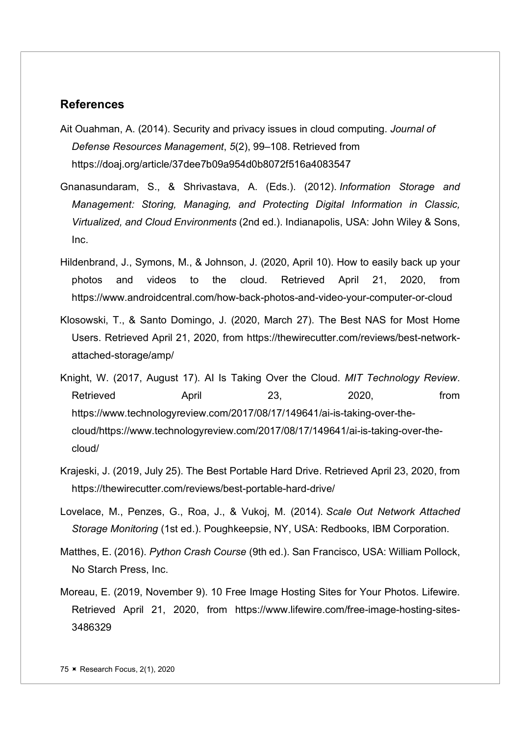## References

- Ait Ouahman, A. (2014). Security and privacy issues in cloud computing. Journal of Defense Resources Management, 5(2), 99–108. Retrieved from https://doaj.org/article/37dee7b09a954d0b8072f516a4083547
- Gnanasundaram, S., & Shrivastava, A. (Eds.). (2012). Information Storage and Management: Storing, Managing, and Protecting Digital Information in Classic, Virtualized, and Cloud Environments (2nd ed.). Indianapolis, USA: John Wiley & Sons, Inc.
- Hildenbrand, J., Symons, M., & Johnson, J. (2020, April 10). How to easily back up your photos and videos to the cloud. Retrieved April 21, 2020, from https://www.androidcentral.com/how-back-photos-and-video-your-computer-or-cloud
- Klosowski, T., & Santo Domingo, J. (2020, March 27). The Best NAS for Most Home Users. Retrieved April 21, 2020, from https://thewirecutter.com/reviews/best-networkattached-storage/amp/
- Knight, W. (2017, August 17). AI Is Taking Over the Cloud. MIT Technology Review. Retrieved April 23, 2020, from https://www.technologyreview.com/2017/08/17/149641/ai-is-taking-over-thecloud/https://www.technologyreview.com/2017/08/17/149641/ai-is-taking-over-thecloud/
- Krajeski, J. (2019, July 25). The Best Portable Hard Drive. Retrieved April 23, 2020, from https://thewirecutter.com/reviews/best-portable-hard-drive/
- Lovelace, M., Penzes, G., Roa, J., & Vukoj, M. (2014). Scale Out Network Attached Storage Monitoring (1st ed.). Poughkeepsie, NY, USA: Redbooks, IBM Corporation.
- Matthes, E. (2016). Python Crash Course (9th ed.). San Francisco, USA: William Pollock, No Starch Press, Inc.
- Moreau, E. (2019, November 9). 10 Free Image Hosting Sites for Your Photos. Lifewire. Retrieved April 21, 2020, from https://www.lifewire.com/free-image-hosting-sites-3486329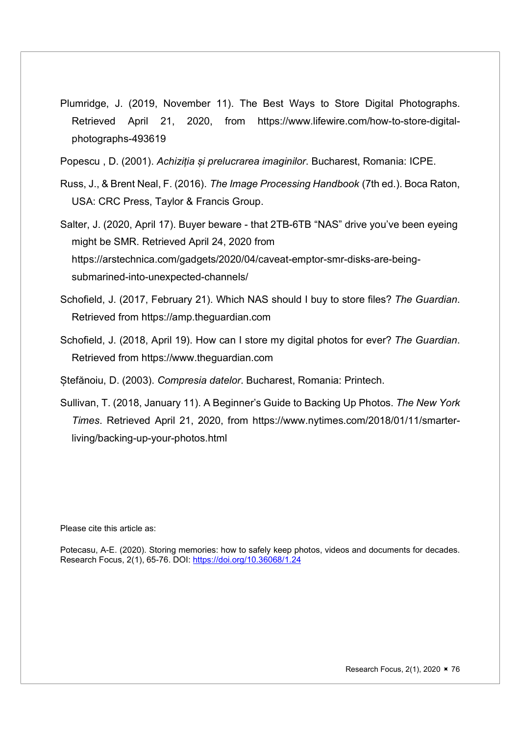- Plumridge, J. (2019, November 11). The Best Ways to Store Digital Photographs. Retrieved April 21, 2020, from https://www.lifewire.com/how-to-store-digitalphotographs-493619
- Popescu , D. (2001). Achiziția și prelucrarea imaginilor. Bucharest, Romania: ICPE.
- Russ, J., & Brent Neal, F. (2016). The Image Processing Handbook (7th ed.). Boca Raton, USA: CRC Press, Taylor & Francis Group.
- Salter, J. (2020, April 17). Buyer beware that 2TB-6TB "NAS" drive you've been eyeing might be SMR. Retrieved April 24, 2020 from https://arstechnica.com/gadgets/2020/04/caveat-emptor-smr-disks-are-beingsubmarined-into-unexpected-channels/
- Schofield, J. (2017, February 21). Which NAS should I buy to store files? The Guardian. Retrieved from https://amp.theguardian.com
- Schofield, J. (2018, April 19). How can I store my digital photos for ever? The Guardian. Retrieved from https://www.theguardian.com
- Stefănoiu, D. (2003). Compresia datelor. Bucharest, Romania: Printech.
- Sullivan, T. (2018, January 11). A Beginner's Guide to Backing Up Photos. The New York Times. Retrieved April 21, 2020, from https://www.nytimes.com/2018/01/11/smarterliving/backing-up-your-photos.html

Please cite this article as:

Potecasu, A-E. (2020). Storing memories: how to safely keep photos, videos and documents for decades. Research Focus, 2(1), 65-76. DOI: https://doi.org/10.36068/1.24